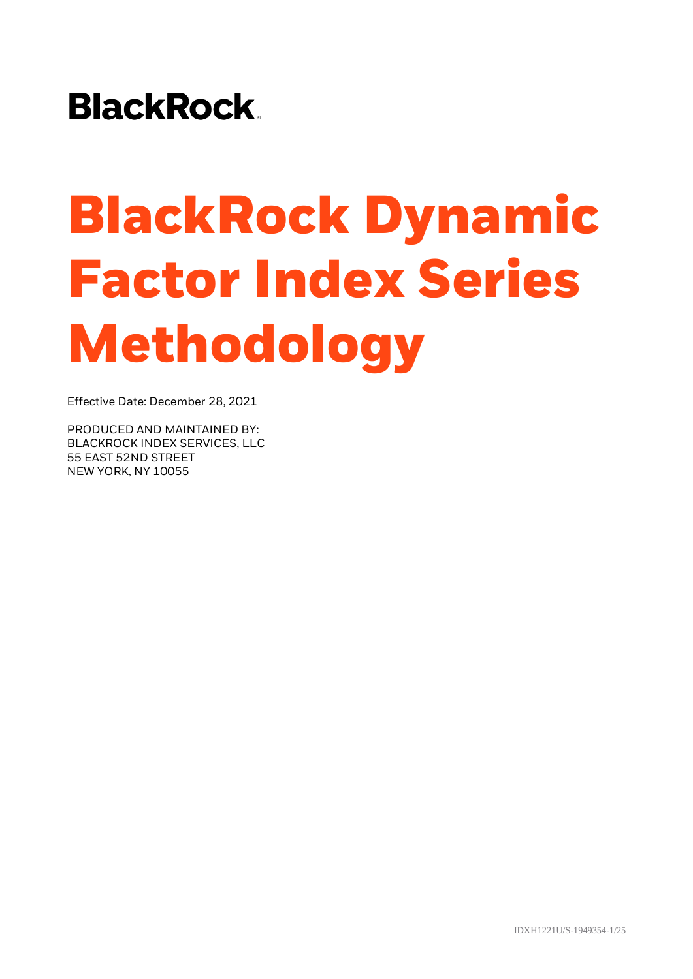# **BlackRock**

# **BlackRock Dynamic Factor Index Series Methodology**

Effective Date: December 28, 2021

PRODUCED AND MAINTAINED BY: BLACKROCK INDEX SERVICES, LLC 55 EAST 52ND STREET NEW YORK, NY 10055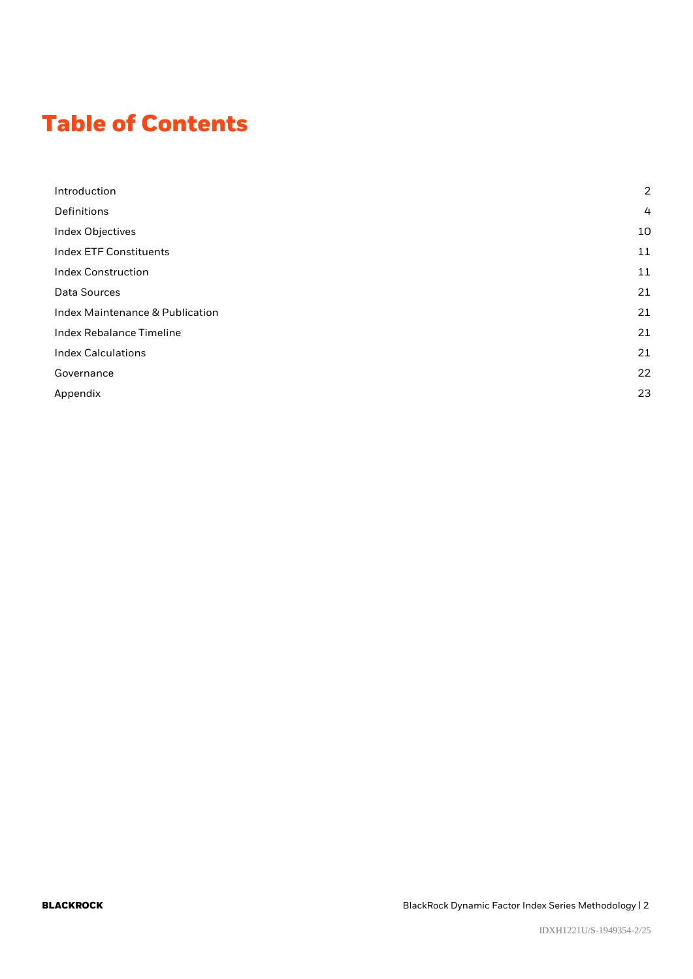# **Table of Contents**

| Introduction                    | $\overline{2}$ |
|---------------------------------|----------------|
| Definitions                     | 4              |
| Index Objectives                | 10             |
| <b>Index ETF Constituents</b>   | 11             |
| <b>Index Construction</b>       | 11             |
| Data Sources                    | 21             |
| Index Maintenance & Publication | 21             |
| <b>Index Rebalance Timeline</b> | 21             |
| <b>Index Calculations</b>       | 21             |
| Governance                      | 22             |
| Appendix                        | 23             |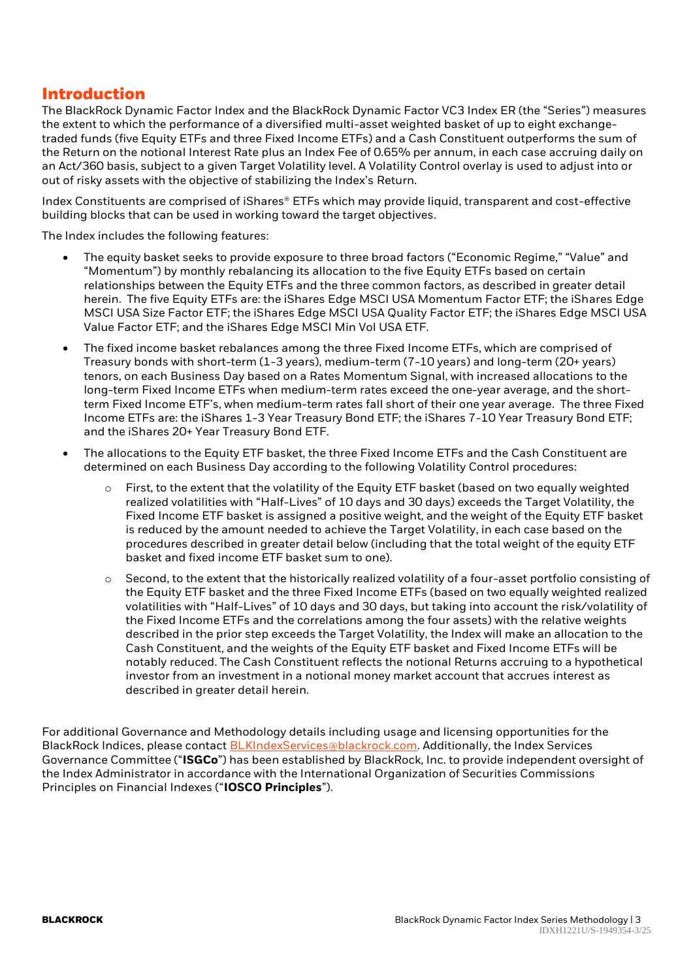# **Introduction**

The BlackRock Dynamic Factor Index and the BlackRock Dynamic Factor VC3 Index ER (the "Series") measures the extent to which the performance of a diversified multi-asset weighted basket of up to eight exchangetraded funds (five Equity ETFs and three Fixed Income ETFs) and a Cash Constituent outperforms the sum of the Return on the notional Interest Rate plus an Index Fee of 0.65% per annum, in each case accruing daily on an Act/360 basis, subject to a given Target Volatility level. A Volatility Control overlay is used to adjust into or out of risky assets with the objective of stabilizing the Index's Return.

Index Constituents are comprised of iShares® ETFs which may provide liquid, transparent and cost-effective building blocks that can be used in working toward the target objectives.

The Index includes the following features:

- The equity basket seeks to provide exposure to three broad factors ("Economic Regime," "Value" and "Momentum") by monthly rebalancing its allocation to the five Equity ETFs based on certain relationships between the Equity ETFs and the three common factors, as described in greater detail herein. The five Equity ETFs are: the iShares Edge MSCI USA Momentum Factor ETF; the iShares Edge MSCI USA Size Factor ETF; the iShares Edge MSCI USA Quality Factor ETF; the iShares Edge MSCI USA Value Factor ETF; and the iShares Edge MSCI Min Vol USA ETF.
- The fixed income basket rebalances among the three Fixed Income ETFs, which are comprised of Treasury bonds with short-term (1-3 years), medium-term (7-10 years) and long-term (20+ years) tenors, on each Business Day based on a Rates Momentum Signal, with increased allocations to the long-term Fixed Income ETFs when medium-term rates exceed the one-year average, and the shortterm Fixed Income ETF's, when medium-term rates fall short of their one year average. The three Fixed Income ETFs are: the iShares 1-3 Year Treasury Bond ETF; the iShares 7-10 Year Treasury Bond ETF; and the iShares 20+ Year Treasury Bond ETF.
- The allocations to the Equity ETF basket, the three Fixed Income ETFs and the Cash Constituent are determined on each Business Day according to the following Volatility Control procedures:
	- o First, to the extent that the volatility of the Equity ETF basket (based on two equally weighted realized volatilities with "Half-Lives" of 10 days and 30 days) exceeds the Target Volatility, the Fixed Income ETF basket is assigned a positive weight, and the weight of the Equity ETF basket is reduced by the amount needed to achieve the Target Volatility, in each case based on the procedures described in greater detail below (including that the total weight of the equity ETF basket and fixed income ETF basket sum to one).
	- o Second, to the extent that the historically realized volatility of a four-asset portfolio consisting of the Equity ETF basket and the three Fixed Income ETFs (based on two equally weighted realized volatilities with "Half-Lives" of 10 days and 30 days, but taking into account the risk/volatility of the Fixed Income ETFs and the correlations among the four assets) with the relative weights described in the prior step exceeds the Target Volatility, the Index will make an allocation to the Cash Constituent, and the weights of the Equity ETF basket and Fixed Income ETFs will be notably reduced. The Cash Constituent reflects the notional Returns accruing to a hypothetical investor from an investment in a notional money market account that accrues interest as described in greater detail herein.

For additional Governance and Methodology details including usage and licensing opportunities for the BlackRock Indices, please contact [BLKIndexServices@blackrock.com.](mailto:BLKIndexServices@blackrock.com) Additionally, the Index Services Governance Committee ("**ISGCo**") has been established by BlackRock, Inc. to provide independent oversight of the Index Administrator in accordance with the International Organization of Securities Commissions Principles on Financial Indexes ("**IOSCO Principles**").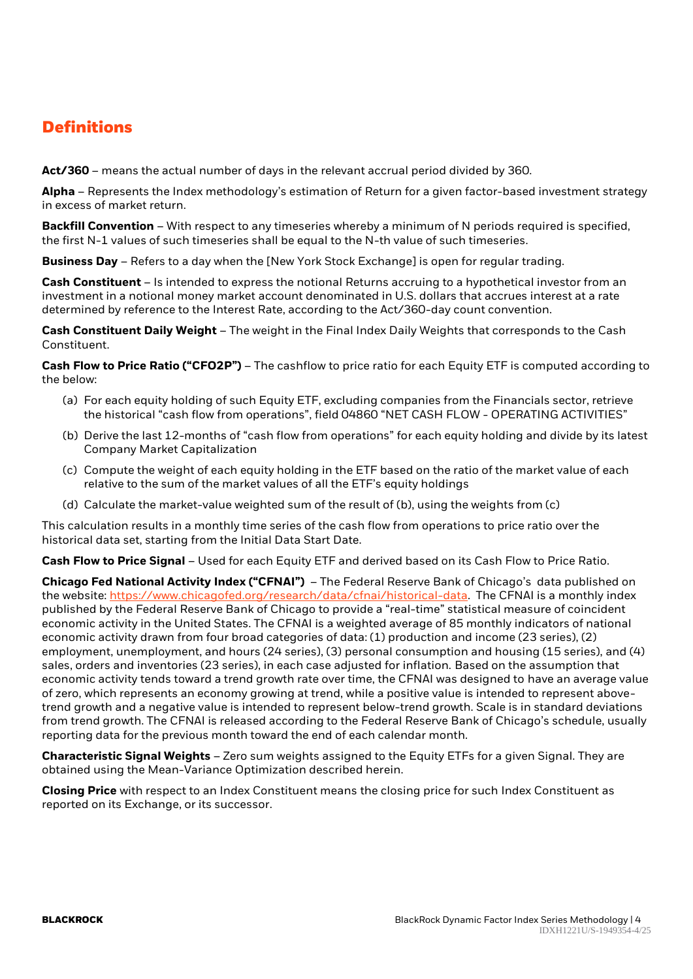# **Definitions**

**Act/360** – means the actual number of days in the relevant accrual period divided by 360.

**Alpha** – Represents the Index methodology's estimation of Return for a given factor-based investment strategy in excess of market return.

**Backfill Convention** – With respect to any timeseries whereby a minimum of N periods required is specified, the first N-1 values of such timeseries shall be equal to the N-th value of such timeseries.

**Business Day** – Refers to a day when the [New York Stock Exchange] is open for regular trading.

**Cash Constituent** – Is intended to express the notional Returns accruing to a hypothetical investor from an investment in a notional money market account denominated in U.S. dollars that accrues interest at a rate determined by reference to the Interest Rate, according to the Act/360-day count convention.

**Cash Constituent Daily Weight** – The weight in the Final Index Daily Weights that corresponds to the Cash Constituent.

**Cash Flow to Price Ratio ("CFO2P")** – The cashflow to price ratio for each Equity ETF is computed according to the below:

- (a) For each equity holding of such Equity ETF, excluding companies from the Financials sector, retrieve the historical "cash flow from operations", field 04860 "NET CASH FLOW - OPERATING ACTIVITIES"
- (b) Derive the last 12-months of "cash flow from operations" for each equity holding and divide by its latest Company Market Capitalization
- (c) Compute the weight of each equity holding in the ETF based on the ratio of the market value of each relative to the sum of the market values of all the ETF's equity holdings
- (d) Calculate the market-value weighted sum of the result of (b), using the weights from (c)

This calculation results in a monthly time series of the cash flow from operations to price ratio over the historical data set, starting from the Initial Data Start Date.

**Cash Flow to Price Signal** – Used for each Equity ETF and derived based on its Cash Flow to Price Ratio.

**Chicago Fed National Activity Index ("CFNAI")** – The Federal Reserve Bank of Chicago's data published on the website: [https://www.chicagofed.org/research/data/cfnai/historical-data.](https://www.chicagofed.org/research/data/cfnai/historical-data) The CFNAI is a monthly index published by the Federal Reserve Bank of Chicago to provide a "real-time" statistical measure of coincident economic activity in the United States. The CFNAI is a weighted average of 85 monthly indicators of national economic activity drawn from four broad categories of data: (1) production and income (23 series), (2) employment, unemployment, and hours (24 series), (3) personal consumption and housing (15 series), and (4) sales, orders and inventories (23 series), in each case adjusted for inflation. Based on the assumption that economic activity tends toward a trend growth rate over time, the CFNAI was designed to have an average value of zero, which represents an economy growing at trend, while a positive value is intended to represent abovetrend growth and a negative value is intended to represent below-trend growth. Scale is in standard deviations from trend growth. The CFNAI is released according to the Federal Reserve Bank of Chicago's schedule, usually reporting data for the previous month toward the end of each calendar month.

**Characteristic Signal Weights** – Zero sum weights assigned to the Equity ETFs for a given Signal. They are obtained using the Mean-Variance Optimization described herein.

**Closing Price** with respect to an Index Constituent means the closing price for such Index Constituent as reported on its Exchange, or its successor.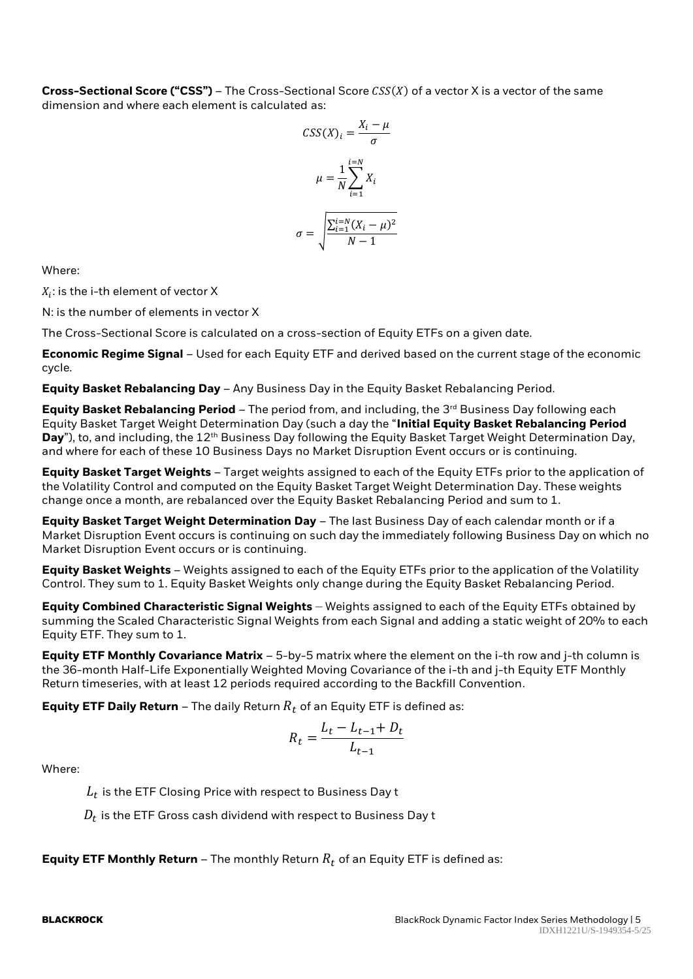**Cross-Sectional Score ("CSS")** – The Cross-Sectional Score CSS(X) of a vector X is a vector of the same dimension and where each element is calculated as:

$$
CSS(X)_i = \frac{X_i - \mu}{\sigma}
$$

$$
\mu = \frac{1}{N} \sum_{i=1}^{i=N} X_i
$$

$$
\sigma = \sqrt{\frac{\sum_{i=1}^{i=N} (X_i - \mu)^2}{N - 1}}
$$

Where:

 $X_i$ : is the i-th element of vector X

N: is the number of elements in vector X

The Cross-Sectional Score is calculated on a cross-section of Equity ETFs on a given date.

**Economic Regime Signal** – Used for each Equity ETF and derived based on the current stage of the economic cycle.

**Equity Basket Rebalancing Day** – Any Business Day in the Equity Basket Rebalancing Period.

**Equity Basket Rebalancing Period** – The period from, and including, the 3<sup>rd</sup> Business Day following each Equity Basket Target Weight Determination Day (such a day the "**Initial Equity Basket Rebalancing Period**  Day"), to, and including, the 12<sup>th</sup> Business Day following the Equity Basket Target Weight Determination Day, and where for each of these 10 Business Days no Market Disruption Event occurs or is continuing.

**Equity Basket Target Weights** – Target weights assigned to each of the Equity ETFs prior to the application of the Volatility Control and computed on the Equity Basket Target Weight Determination Day. These weights change once a month, are rebalanced over the Equity Basket Rebalancing Period and sum to 1.

**Equity Basket Target Weight Determination Day** – The last Business Day of each calendar month or if a Market Disruption Event occurs is continuing on such day the immediately following Business Day on which no Market Disruption Event occurs or is continuing.

**Equity Basket Weights** – Weights assigned to each of the Equity ETFs prior to the application of the Volatility Control. They sum to 1. Equity Basket Weights only change during the Equity Basket Rebalancing Period.

**Equity Combined Characteristic Signal Weights** – Weights assigned to each of the Equity ETFs obtained by summing the Scaled Characteristic Signal Weights from each Signal and adding a static weight of 20% to each Equity ETF. They sum to 1.

**Equity ETF Monthly Covariance Matrix** – 5-by-5 matrix where the element on the i-th row and j-th column is the 36-month Half-Life Exponentially Weighted Moving Covariance of the i-th and j-th Equity ETF Monthly Return timeseries, with at least 12 periods required according to the Backfill Convention.

**Equity ETF Daily Return** – The daily Return  $R_t$  of an Equity ETF is defined as:

$$
R_t = \frac{L_t - L_{t-1} + D_t}{L_{t-1}}
$$

Where:

 $\mathit{L}_t$  is the ETF Closing Price with respect to Business Day t

 $D_t$  is the ETF Gross cash dividend with respect to Business Day t

**Equity ETF Monthly Return** – The monthly Return  $R_t$  of an Equity ETF is defined as: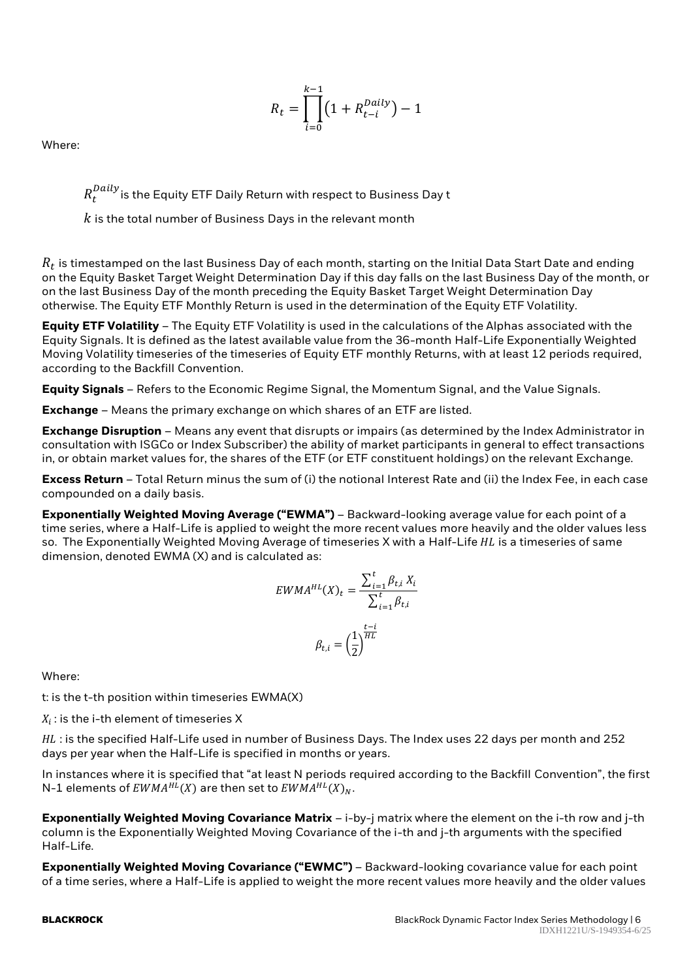$$
R_t = \prod_{i=0}^{k-1} \left( 1 + R_{t-i}^{Daily} \right) - 1
$$

Where:

 $R^{Daily}_t$  is the Equity ETF Daily Return with respect to Business Day t

 $k$  is the total number of Business Days in the relevant month

 $R_t$  is timestamped on the last Business Day of each month, starting on the Initial Data Start Date and ending on the Equity Basket Target Weight Determination Day if this day falls on the last Business Day of the month, or on the last Business Day of the month preceding the Equity Basket Target Weight Determination Day otherwise. The Equity ETF Monthly Return is used in the determination of the Equity ETF Volatility.

**Equity ETF Volatility** – The Equity ETF Volatility is used in the calculations of the Alphas associated with the Equity Signals. It is defined as the latest available value from the 36-month Half-Life Exponentially Weighted Moving Volatility timeseries of the timeseries of Equity ETF monthly Returns, with at least 12 periods required, according to the Backfill Convention.

**Equity Signals** – Refers to the Economic Regime Signal, the Momentum Signal, and the Value Signals.

**Exchange** – Means the primary exchange on which shares of an ETF are listed.

**Exchange Disruption** – Means any event that disrupts or impairs (as determined by the Index Administrator in consultation with ISGCo or Index Subscriber) the ability of market participants in general to effect transactions in, or obtain market values for, the shares of the ETF (or ETF constituent holdings) on the relevant Exchange.

**Excess Return** – Total Return minus the sum of (i) the notional Interest Rate and (ii) the Index Fee, in each case compounded on a daily basis.

**Exponentially Weighted Moving Average ("EWMA")** – Backward-looking average value for each point of a time series, where a Half-Life is applied to weight the more recent values more heavily and the older values less so. The Exponentially Weighted Moving Average of timeseries X with a Half-Life *HL* is a timeseries of same dimension, denoted EWMA (X) and is calculated as:

$$
EWMA^{HL}(X)_t = \frac{\sum_{i=1}^t \beta_{t,i} X_i}{\sum_{i=1}^t \beta_{t,i}}
$$

$$
\beta_{t,i} = \left(\frac{1}{2}\right)^{\frac{t-i}{HL}}
$$

Where:

t: is the t-th position within timeseries EWMA(X)

 $X_i$  : is the i-th element of timeseries X

HL: is the specified Half-Life used in number of Business Days. The Index uses 22 days per month and 252 days per year when the Half-Life is specified in months or years.

In instances where it is specified that "at least N periods required according to the Backfill Convention", the first N-1 elements of  $EWMA^{HL}(X)$  are then set to  $EWMA^{HL}(X)_N$ .

**Exponentially Weighted Moving Covariance Matrix** – i-by-j matrix where the element on the i-th row and j-th column is the Exponentially Weighted Moving Covariance of the i-th and j-th arguments with the specified Half-Life.

**Exponentially Weighted Moving Covariance ("EWMC")** – Backward-looking covariance value for each point of a time series, where a Half-Life is applied to weight the more recent values more heavily and the older values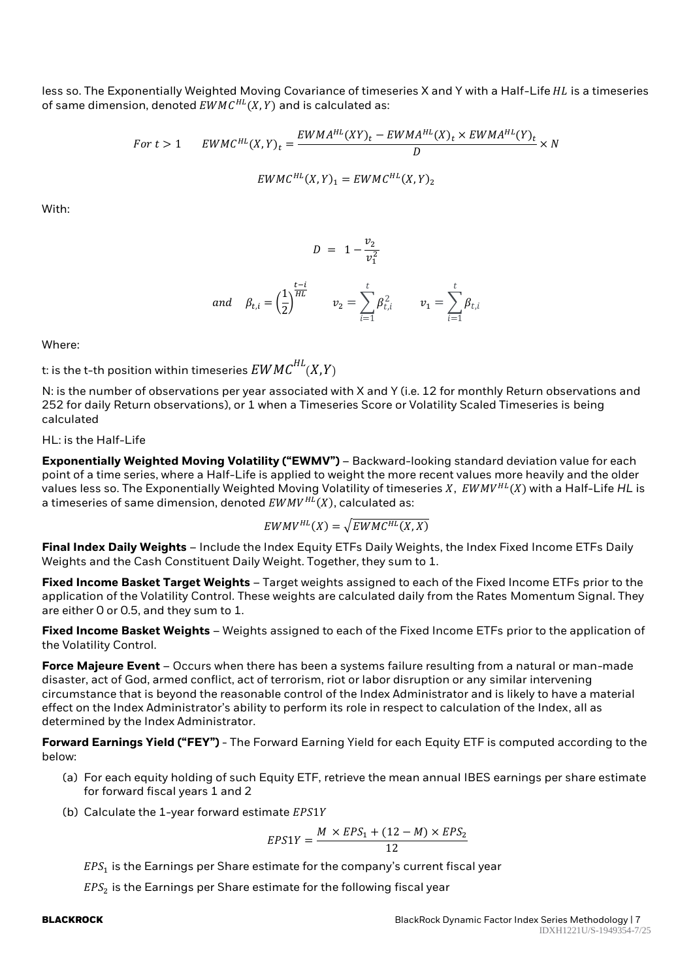less so. The Exponentially Weighted Moving Covariance of timeseries X and Y with a Half-Life *HL* is a timeseries of same dimension, denoted  $\mathit{EWMC}^{HL}(X,Y)$  and is calculated as:

$$
For t > 1 \qquad EWMC^{HL}(X,Y)_t = \frac{EWMA^{HL}(XY)_t - EWMA^{HL}(X)_t \times EWMA^{HL}(Y)_t}{D} \times N
$$

$$
EWMC^{HL}(X,Y)_1 = EWMC^{HL}(X,Y)_2
$$

With:

$$
D = 1 - \frac{v_2}{v_1^2}
$$

and 
$$
\beta_{t,i} = \left(\frac{1}{2}\right)^{\frac{t-i}{HL}}
$$
  $v_2 = \sum_{i=1}^{t} \beta_{t,i}^2$   $v_1 = \sum_{i=1}^{t} \beta_{t,i}$ 

Where:

t: is the t-th position within timeseries  $\mathit{EWMC}^{HL}(X,Y)$ 

N: is the number of observations per year associated with X and Y (i.e. 12 for monthly Return observations and 252 for daily Return observations), or 1 when a Timeseries Score or Volatility Scaled Timeseries is being calculated

HL: is the Half-Life

**Exponentially Weighted Moving Volatility ("EWMV")** – Backward-looking standard deviation value for each point of a time series, where a Half-Life is applied to weight the more recent values more heavily and the older values less so. The Exponentially Weighted Moving Volatility of timeseries X, EWMV<sup>HL</sup>(X) with a Half-Life *HL* is a timeseries of same dimension, denoted  $EWMV^{HL}(X)$ , calculated as:

$$
EWMV^{HL}(X)=\sqrt{EWMC^{HL}(X,X)}
$$

**Final Index Daily Weights** – Include the Index Equity ETFs Daily Weights, the Index Fixed Income ETFs Daily Weights and the Cash Constituent Daily Weight. Together, they sum to 1.

**Fixed Income Basket Target Weights** – Target weights assigned to each of the Fixed Income ETFs prior to the application of the Volatility Control. These weights are calculated daily from the Rates Momentum Signal. They are either 0 or 0.5, and they sum to 1.

**Fixed Income Basket Weights** – Weights assigned to each of the Fixed Income ETFs prior to the application of the Volatility Control.

**Force Majeure Event** – Occurs when there has been a systems failure resulting from a natural or man-made disaster, act of God, armed conflict, act of terrorism, riot or labor disruption or any similar intervening circumstance that is beyond the reasonable control of the Index Administrator and is likely to have a material effect on the Index Administrator's ability to perform its role in respect to calculation of the Index, all as determined by the Index Administrator.

**Forward Earnings Yield ("FEY")** - The Forward Earning Yield for each Equity ETF is computed according to the below:

- (a) For each equity holding of such Equity ETF, retrieve the mean annual IBES earnings per share estimate for forward fiscal years 1 and 2
- (b) Calculate the 1-year forward estimate  $EPS1Y$

$$
EPS1Y = \frac{M \times EPS_1 + (12 - M) \times EPS_2}{12}
$$

 $\mathit{EPS}_1$  is the Earnings per Share estimate for the company's current fiscal year

 $\mathit{EPS}_2$  is the Earnings per Share estimate for the following fiscal year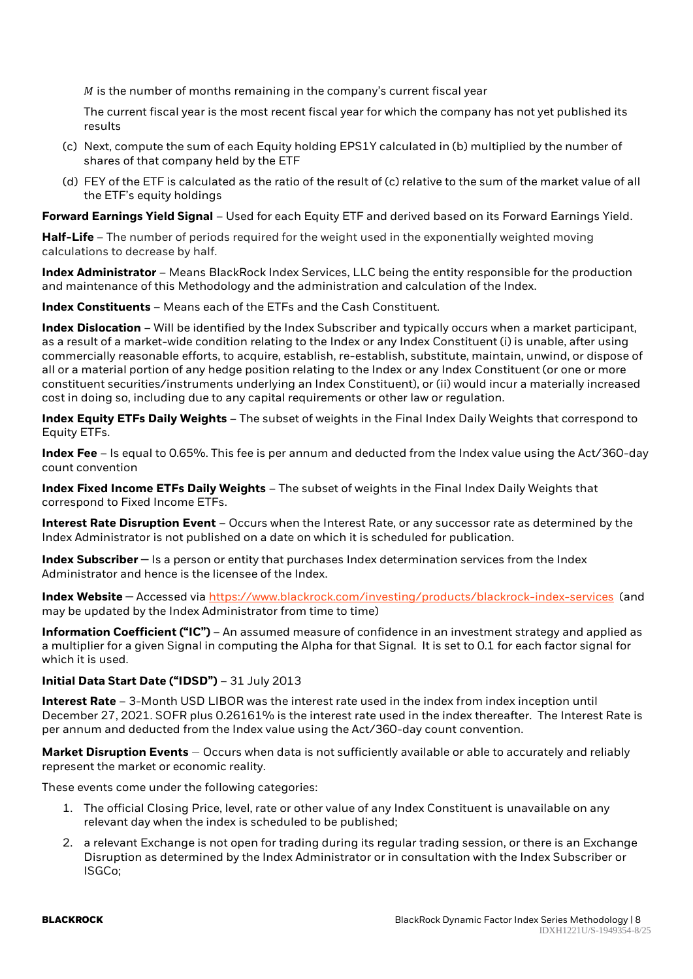$M$  is the number of months remaining in the company's current fiscal year

The current fiscal year is the most recent fiscal year for which the company has not yet published its results

- (c) Next, compute the sum of each Equity holding EPS1Y calculated in (b) multiplied by the number of shares of that company held by the ETF
- (d) FEY of the ETF is calculated as the ratio of the result of (c) relative to the sum of the market value of all the ETF's equity holdings

#### **Forward Earnings Yield Signal** – Used for each Equity ETF and derived based on its Forward Earnings Yield.

**Half-Life** – The number of periods required for the weight used in the exponentially weighted moving calculations to decrease by half.

**Index Administrator** – Means BlackRock Index Services, LLC being the entity responsible for the production and maintenance of this Methodology and the administration and calculation of the Index.

**Index Constituents** – Means each of the ETFs and the Cash Constituent.

**Index Dislocation** – Will be identified by the Index Subscriber and typically occurs when a market participant, as a result of a market-wide condition relating to the Index or any Index Constituent (i) is unable, after using commercially reasonable efforts, to acquire, establish, re-establish, substitute, maintain, unwind, or dispose of all or a material portion of any hedge position relating to the Index or any Index Constituent (or one or more constituent securities/instruments underlying an Index Constituent), or (ii) would incur a materially increased cost in doing so, including due to any capital requirements or other law or regulation.

**Index Equity ETFs Daily Weights** – The subset of weights in the Final Index Daily Weights that correspond to Equity ETFs.

**Index Fee** – Is equal to 0.65%. This fee is per annum and deducted from the Index value using the Act/360-day count convention

**Index Fixed Income ETFs Daily Weights** – The subset of weights in the Final Index Daily Weights that correspond to Fixed Income ETFs.

**Interest Rate Disruption Event** – Occurs when the Interest Rate, or any successor rate as determined by the Index Administrator is not published on a date on which it is scheduled for publication.

**Index Subscriber** – Is a person or entity that purchases Index determination services from the Index Administrator and hence is the licensee of the Index.

**Index Website** – Accessed vi[a https://www.blackrock.com/investing/products/blackrock-index-services](https://www.blackrock.com/investing/products/blackrock-index-services) (and may be updated by the Index Administrator from time to time)

**Information Coefficient ("IC")** – An assumed measure of confidence in an investment strategy and applied as a multiplier for a given Signal in computing the Alpha for that Signal. It is set to 0.1 for each factor signal for which it is used.

#### **Initial Data Start Date ("IDSD")** – 31 July 2013

**Interest Rate** – 3-Month USD LIBOR was the interest rate used in the index from index inception until December 27, 2021. SOFR plus 0.26161% is the interest rate used in the index thereafter. The Interest Rate is per annum and deducted from the Index value using the Act/360-day count convention.

**Market Disruption Events** – Occurs when data is not sufficiently available or able to accurately and reliably represent the market or economic reality.

These events come under the following categories:

- 1. The official Closing Price, level, rate or other value of any Index Constituent is unavailable on any relevant day when the index is scheduled to be published;
- 2. a relevant Exchange is not open for trading during its regular trading session, or there is an Exchange Disruption as determined by the Index Administrator or in consultation with the Index Subscriber or ISGCo;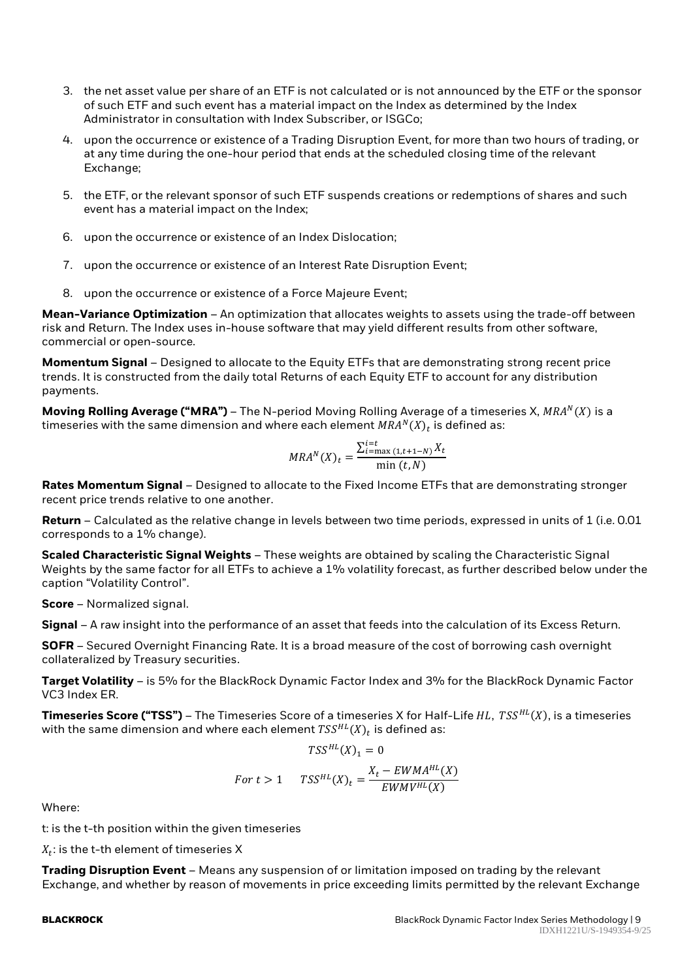- 3. the net asset value per share of an ETF is not calculated or is not announced by the ETF or the sponsor of such ETF and such event has a material impact on the Index as determined by the Index Administrator in consultation with Index Subscriber, or ISGCo;
- 4. upon the occurrence or existence of a Trading Disruption Event, for more than two hours of trading, or at any time during the one-hour period that ends at the scheduled closing time of the relevant Exchange;
- 5. the ETF, or the relevant sponsor of such ETF suspends creations or redemptions of shares and such event has a material impact on the Index;
- 6. upon the occurrence or existence of an Index Dislocation;
- 7. upon the occurrence or existence of an Interest Rate Disruption Event;
- 8. upon the occurrence or existence of a Force Majeure Event;

**Mean-Variance Optimization** – An optimization that allocates weights to assets using the trade-off between risk and Return. The Index uses in-house software that may yield different results from other software, commercial or open-source.

**Momentum Signal** – Designed to allocate to the Equity ETFs that are demonstrating strong recent price trends. It is constructed from the daily total Returns of each Equity ETF to account for any distribution payments.

**Moving Rolling Average ("MRA")** – The N-period Moving Rolling Average of a timeseries X,  $MRA<sup>N</sup>(X)$  is a timeseries with the same dimension and where each element  $\mathit{MRA}^N(X)_t$  is defined as:

$$
MRA^{N}(X)_{t} = \frac{\sum_{i=\max(1,t+1-N)}^{i=t} X_{t}}{\min(t,N)}
$$

**Rates Momentum Signal** – Designed to allocate to the Fixed Income ETFs that are demonstrating stronger recent price trends relative to one another.

**Return** – Calculated as the relative change in levels between two time periods, expressed in units of 1 (i.e. 0.01 corresponds to a 1% change).

**Scaled Characteristic Signal Weights** – These weights are obtained by scaling the Characteristic Signal Weights by the same factor for all ETFs to achieve a 1% volatility forecast, as further described below under the caption "Volatility Control".

**Score** – Normalized signal.

**Signal** – A raw insight into the performance of an asset that feeds into the calculation of its Excess Return.

**SOFR** – Secured Overnight Financing Rate. It is a broad measure of the cost of borrowing cash overnight collateralized by Treasury securities.

**Target Volatility** – is 5% for the BlackRock Dynamic Factor Index and 3% for the BlackRock Dynamic Factor VC3 Index ER.

**Timeseries Score ("TSS")** – The Timeseries Score of a timeseries X for Half-Life HL, TSS<sup>HL</sup>(X), is a timeseries with the same dimension and where each element  $TSS^{HL}(X)_t$  is defined as:

$$
TSS^{HL}(X)_1 = 0
$$
  
For  $t > 1$  
$$
TSS^{HL}(X)_t = \frac{X_t - EWMA^{HL}(X)}{EWMV^{HL}(X)}
$$

Where:

t: is the t-th position within the given timeseries

 $X_{t}$ : is the t-th element of timeseries X

**Trading Disruption Event** – Means any suspension of or limitation imposed on trading by the relevant Exchange, and whether by reason of movements in price exceeding limits permitted by the relevant Exchange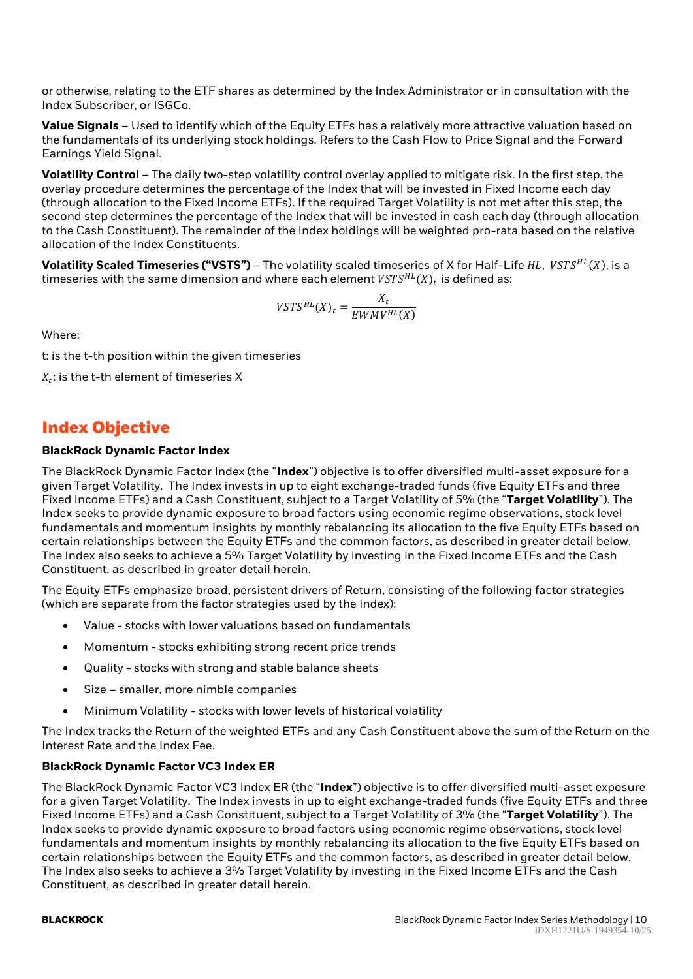or otherwise, relating to the ETF shares as determined by the Index Administrator or in consultation with the Index Subscriber, or ISGCo.

**Value Signals** – Used to identify which of the Equity ETFs has a relatively more attractive valuation based on the fundamentals of its underlying stock holdings. Refers to the Cash Flow to Price Signal and the Forward Earnings Yield Signal.

**Volatility Control** – The daily two-step volatility control overlay applied to mitigate risk. In the first step, the overlay procedure determines the percentage of the Index that will be invested in Fixed Income each day (through allocation to the Fixed Income ETFs). If the required Target Volatility is not met after this step, the second step determines the percentage of the Index that will be invested in cash each day (through allocation to the Cash Constituent). The remainder of the Index holdings will be weighted pro-rata based on the relative allocation of the Index Constituents.

**Volatility Scaled Timeseries ("VSTS") –** The volatility scaled timeseries of X for Half-Life HL, VSTS<sup>HL</sup>(X), is a timeseries with the same dimension and where each element  $\mathit{VSTS}^{HL}(X)_t$  is defined as:

$$
VSTS^{HL}(X)_t = \frac{X_t}{EWMV^{HL}(X)}
$$

Where:

t: is the t-th position within the given timeseries

 $X_{t}$ : is the t-th element of timeseries X

# **Index Objective**

#### **BlackRock Dynamic Factor Index**

The BlackRock Dynamic Factor Index (the "**Index**") objective is to offer diversified multi-asset exposure for a given Target Volatility. The Index invests in up to eight exchange-traded funds (five Equity ETFs and three Fixed Income ETFs) and a Cash Constituent, subject to a Target Volatility of 5% (the "**Target Volatility**"). The Index seeks to provide dynamic exposure to broad factors using economic regime observations, stock level fundamentals and momentum insights by monthly rebalancing its allocation to the five Equity ETFs based on certain relationships between the Equity ETFs and the common factors, as described in greater detail below. The Index also seeks to achieve a 5% Target Volatility by investing in the Fixed Income ETFs and the Cash Constituent, as described in greater detail herein.

The Equity ETFs emphasize broad, persistent drivers of Return, consisting of the following factor strategies (which are separate from the factor strategies used by the Index):

- Value stocks with lower valuations based on fundamentals
- Momentum stocks exhibiting strong recent price trends
- Quality stocks with strong and stable balance sheets
- Size smaller, more nimble companies
- Minimum Volatility stocks with lower levels of historical volatility

The Index tracks the Return of the weighted ETFs and any Cash Constituent above the sum of the Return on the Interest Rate and the Index Fee.

#### **BlackRock Dynamic Factor VC3 Index ER**

The BlackRock Dynamic Factor VC3 Index ER (the "**Index**") objective is to offer diversified multi-asset exposure for a given Target Volatility. The Index invests in up to eight exchange-traded funds (five Equity ETFs and three Fixed Income ETFs) and a Cash Constituent, subject to a Target Volatility of 3% (the "**Target Volatility**"). The Index seeks to provide dynamic exposure to broad factors using economic regime observations, stock level fundamentals and momentum insights by monthly rebalancing its allocation to the five Equity ETFs based on certain relationships between the Equity ETFs and the common factors, as described in greater detail below. The Index also seeks to achieve a 3% Target Volatility by investing in the Fixed Income ETFs and the Cash Constituent, as described in greater detail herein.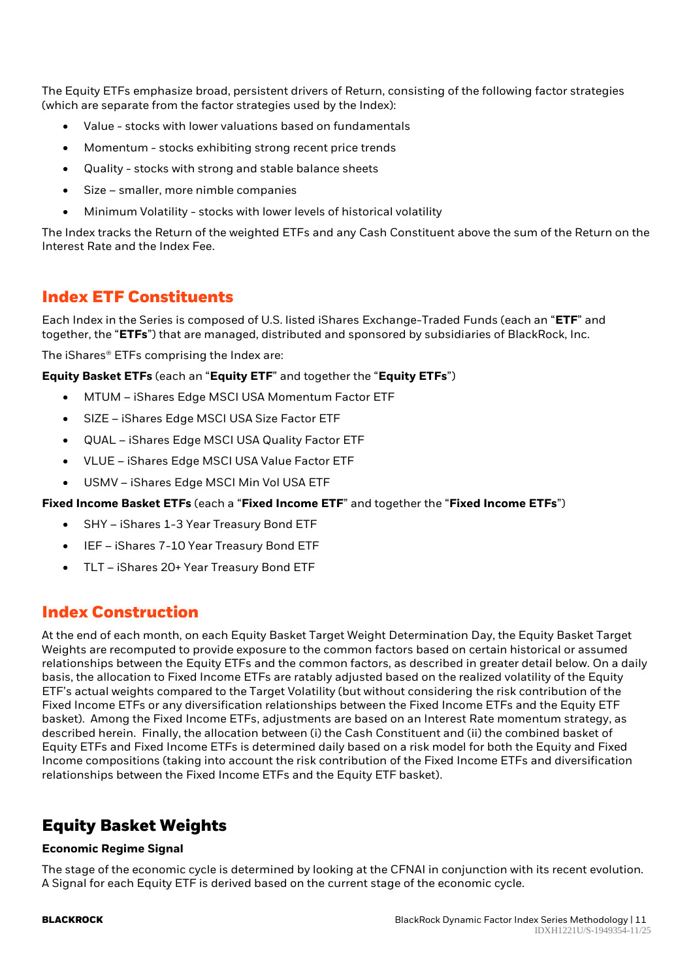The Equity ETFs emphasize broad, persistent drivers of Return, consisting of the following factor strategies (which are separate from the factor strategies used by the Index):

- Value stocks with lower valuations based on fundamentals
- Momentum stocks exhibiting strong recent price trends
- Quality stocks with strong and stable balance sheets
- Size smaller, more nimble companies
- Minimum Volatility stocks with lower levels of historical volatility

The Index tracks the Return of the weighted ETFs and any Cash Constituent above the sum of the Return on the Interest Rate and the Index Fee.

# **Index ETF Constituents**

Each Index in the Series is composed of U.S. listed iShares Exchange-Traded Funds (each an "**ETF**" and together, the "**ETFs**") that are managed, distributed and sponsored by subsidiaries of BlackRock, Inc.

The iShares® ETFs comprising the Index are:

#### **Equity Basket ETFs** (each an "**Equity ETF**" and together the "**Equity ETFs**")

- MTUM iShares Edge MSCI USA Momentum Factor ETF
- SIZE iShares Edge MSCI USA Size Factor ETF
- QUAL iShares Edge MSCI USA Quality Factor ETF
- VLUE iShares Edge MSCI USA Value Factor ETF
- USMV iShares Edge MSCI Min Vol USA ETF

#### **Fixed Income Basket ETFs** (each a "**Fixed Income ETF**" and together the "**Fixed Income ETFs**")

- SHY iShares 1-3 Year Treasury Bond ETF
- IEF iShares 7-10 Year Treasury Bond ETF
- TLT iShares 20+ Year Treasury Bond ETF

# **Index Construction**

At the end of each month, on each Equity Basket Target Weight Determination Day, the Equity Basket Target Weights are recomputed to provide exposure to the common factors based on certain historical or assumed relationships between the Equity ETFs and the common factors, as described in greater detail below. On a daily basis, the allocation to Fixed Income ETFs are ratably adjusted based on the realized volatility of the Equity ETF's actual weights compared to the Target Volatility (but without considering the risk contribution of the Fixed Income ETFs or any diversification relationships between the Fixed Income ETFs and the Equity ETF basket). Among the Fixed Income ETFs, adjustments are based on an Interest Rate momentum strategy, as described herein. Finally, the allocation between (i) the Cash Constituent and (ii) the combined basket of Equity ETFs and Fixed Income ETFs is determined daily based on a risk model for both the Equity and Fixed Income compositions (taking into account the risk contribution of the Fixed Income ETFs and diversification relationships between the Fixed Income ETFs and the Equity ETF basket).

# **Equity Basket Weights**

#### **Economic Regime Signal**

The stage of the economic cycle is determined by looking at the CFNAI in conjunction with its recent evolution. A Signal for each Equity ETF is derived based on the current stage of the economic cycle.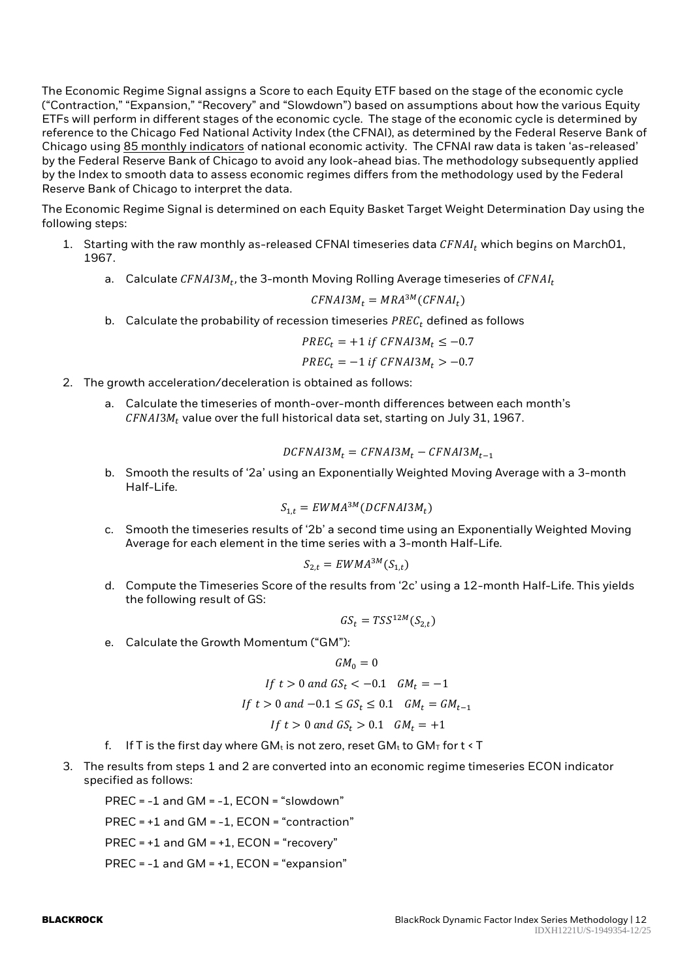The Economic Regime Signal assigns a Score to each Equity ETF based on the stage of the economic cycle ("Contraction," "Expansion," "Recovery" and "Slowdown") based on assumptions about how the various Equity ETFs will perform in different stages of the economic cycle. The stage of the economic cycle is determined by reference to the Chicago Fed National Activity Index (the CFNAI), as determined by the Federal Reserve Bank of Chicago using 85 monthly [indicators](https://www.chicagofed.org/~/media/publications/cfnai/background/cfnai-indicators-list-pdf.pdf?la=en) of national economic activity. The CFNAI raw data is taken 'as-released' by the Federal Reserve Bank of Chicago to avoid any look-ahead bias. The methodology subsequently applied by the Index to smooth data to assess economic regimes differs from the methodology used by the Federal Reserve Bank of Chicago to interpret the data.

The Economic Regime Signal is determined on each Equity Basket Target Weight Determination Day using the following steps:

- 1. Starting with the raw monthly as-released CFNAI timeseries data  $CFNAI_t$  which begins on MarchO1, 1967.
	- a. Calculate  $\mathit{CFNAI3M}_t$ , the 3-month Moving Rolling Average timeseries of  $\mathit{CFNAI}_t$

$$
CFNAI3M_t = MRA^{3M} (CFNAI_t)
$$

b. Calculate the probability of recession timeseries  $PREC_t$  defined as follows

$$
PREC_t = +1 \text{ if } CFNAI3M_t \le -0.7
$$

$$
PREC_t = -1 \text{ if } CFNAI3M_t > -0.7
$$

- 2. The growth acceleration/deceleration is obtained as follows:
	- a. Calculate the timeseries of month-over-month differences between each month's  $CFNA13M_t$  value over the full historical data set, starting on July 31, 1967.

$$
DCFNAI3M_t = CFNAI3M_t - CFNAI3M_{t-1}
$$

b. Smooth the results of '2a' using an Exponentially Weighted Moving Average with a 3-month Half-Life.

$$
S_{1,t} = EWMA^{3M}(DCFNAI3M_t)
$$

c. Smooth the timeseries results of '2b' a second time using an Exponentially Weighted Moving Average for each element in the time series with a 3-month Half-Life.

$$
S_{2,t} = EWMA^{3M}(S_{1,t})
$$

d. Compute the Timeseries Score of the results from '2c' using a 12-month Half-Life. This yields the following result of GS:

$$
GS_t = TSS^{12M}(S_{2,t})
$$

e. Calculate the Growth Momentum ("GM"):

$$
GM_0 = 0
$$
  
If  $t > 0$  and  $GS_t < -0.1$   $GM_t = -1$   
If  $t > 0$  and  $-0.1 \le GS_t \le 0.1$   $GM_t = GM_{t-1}$   
If  $t > 0$  and  $GS_t > 0.1$   $GM_t = +1$ 

- f. If T is the first day where  $GM_t$  is not zero, reset  $GM_t$  to  $GM_T$  for t < T
- 3. The results from steps 1 and 2 are converted into an economic regime timeseries ECON indicator specified as follows:

PREC = -1 and GM = -1, ECON = "slowdown" PREC = +1 and GM = -1, ECON = "contraction" PREC = +1 and GM = +1, ECON = "recovery" PREC = -1 and GM = +1, ECON = "expansion"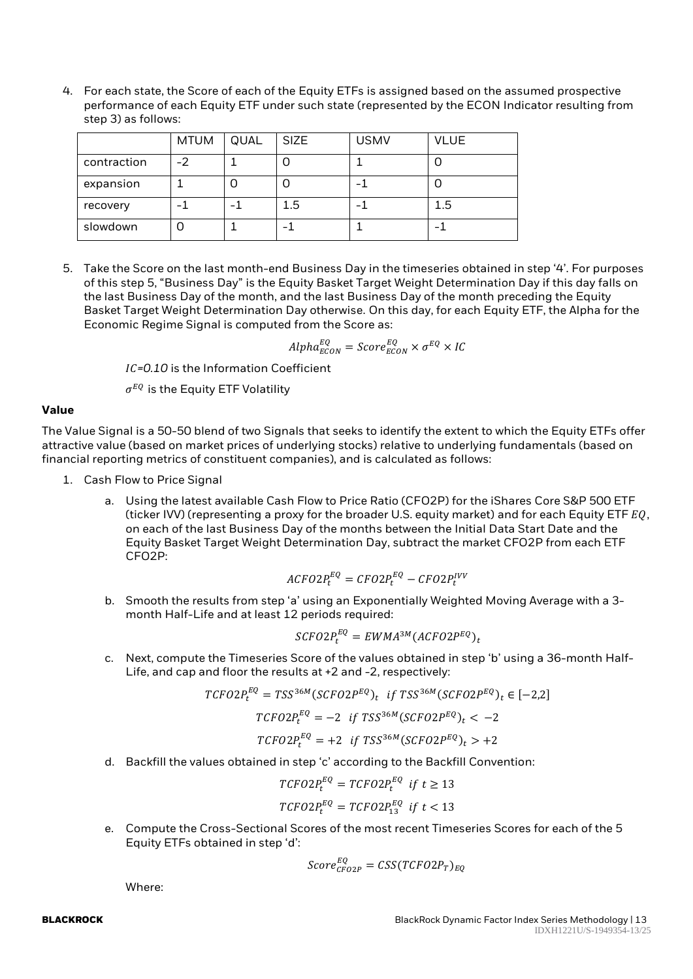4. For each state, the Score of each of the Equity ETFs is assigned based on the assumed prospective performance of each Equity ETF under such state (represented by the ECON Indicator resulting from step 3) as follows:

|             | <b>MTUM</b> | QUAL | <b>SIZE</b> | <b>USMV</b> | <b>VLUE</b> |
|-------------|-------------|------|-------------|-------------|-------------|
| contraction | -2          |      | U           |             |             |
| expansion   |             |      |             |             |             |
| recovery    |             |      | 1.5         | - 1         | $1.5\,$     |
| slowdown    |             |      |             |             |             |

5. Take the Score on the last month-end Business Day in the timeseries obtained in step '4'. For purposes of this step 5, "Business Day" is the Equity Basket Target Weight Determination Day if this day falls on the last Business Day of the month, and the last Business Day of the month preceding the Equity Basket Target Weight Determination Day otherwise. On this day, for each Equity ETF, the Alpha for the Economic Regime Signal is computed from the Score as:

 $Alpha_{ECON}^{EQ} = Score_{ECON}^{EQ} \times \sigma^{EQ} \times IC$ 

*=0.10* is the Information Coefficient

 $\sigma^{EQ}$  is the Equity ETF Volatility

#### **Value**

The Value Signal is a 50-50 blend of two Signals that seeks to identify the extent to which the Equity ETFs offer attractive value (based on market prices of underlying stocks) relative to underlying fundamentals (based on financial reporting metrics of constituent companies), and is calculated as follows:

- 1. Cash Flow to Price Signal
	- a. Using the latest available Cash Flow to Price Ratio (CFO2P) for the iShares Core S&P 500 ETF (ticker IVV) (representing a proxy for the broader U.S. equity market) and for each Equity ETF  $EQ$ , on each of the last Business Day of the months between the Initial Data Start Date and the Equity Basket Target Weight Determination Day, subtract the market CFO2P from each ETF CFO2P:

$$
ACFO2P_t^{EQ} = CFO2P_t^{EQ} - CFO2P_t^{IVV}
$$

b. Smooth the results from step 'a' using an Exponentially Weighted Moving Average with a 3 month Half-Life and at least 12 periods required:

$$
SCFO2P_t^{EQ} = EWMA^{3M}(ACFO2P^{EQ})_t
$$

c. Next, compute the Timeseries Score of the values obtained in step 'b' using a 36-month Half-Life, and cap and floor the results at +2 and -2, respectively:

$$
TCFO2P_t^{EQ} = TSS^{36M}(SCFO2P^{EQ})_t \text{ if } TSS^{36M}(SCFO2P^{EQ})_t \in [-2,2]
$$

$$
TCFO2P_t^{EQ} = -2 \text{ if } TSS^{36M}(SCFO2P^{EQ})_t < -2
$$

$$
TCFO2P_t^{EQ} = +2 \text{ if } TSS^{36M}(SCFO2P^{EQ})_t > +2
$$

d. Backfill the values obtained in step 'c' according to the Backfill Convention:

$$
TCFO2P_t^{EQ} = TCFO2P_t^{EQ} \text{ if } t \ge 13
$$

$$
TCFO2P_t^{EQ} = TCFO2P_{13}^{EQ} \text{ if } t < 13
$$

e. Compute the Cross-Sectional Scores of the most recent Timeseries Scores for each of the 5 Equity ETFs obtained in step 'd':

$$
Score_{CFO2P}^{EQ} = CSS(TCFO2P_T)_{EQ}
$$

Where: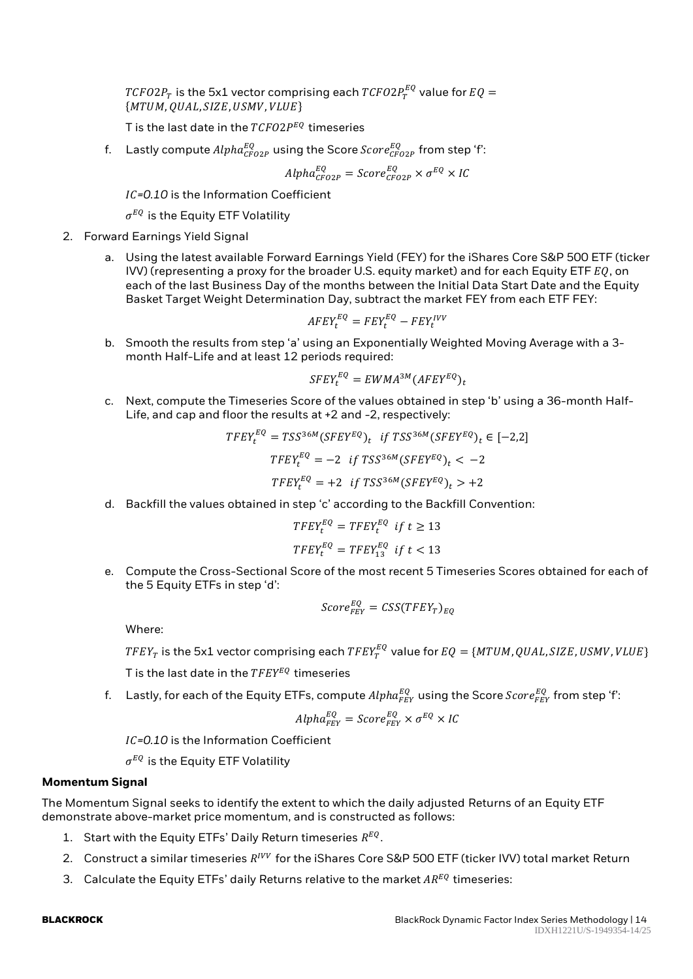$\mathit{TCFO2P}_T$  is the 5x1 vector comprising each  $\mathit{TCFO2P}^{\mathit{EQ}}_T$  value for  $\mathit{EQ} =$  ${MTUM, OUAL, SIZE, USMV, VLUE}$ 

T is the last date in the  $\mathit{TCFO2P^{EQ}}$  timeseries

f.  $\;$  Lastly compute  $Alpha^{EQ}_{CFO2P}$  using the Score  $Score^{EQ}_{CFO2P}$  from step 'f':

$$
Alpha_{CFO2P}^{EQ} = Score_{CFO2P}^{EQ} \times \sigma^{EQ} \times IC
$$

*=0.10* is the Information Coefficient

 $\sigma^{EQ}$  is the Equity ETF Volatility

- 2. Forward Earnings Yield Signal
	- a. Using the latest available Forward Earnings Yield (FEY) for the iShares Core S&P 500 ETF (ticker IVV) (representing a proxy for the broader U.S. equity market) and for each Equity ETF  $EQ$ , on each of the last Business Day of the months between the Initial Data Start Date and the Equity Basket Target Weight Determination Day, subtract the market FEY from each ETF FEY:

$$
AFEY_t^{EQ} = FEY_t^{EQ} - FEY_t^{IVV}
$$

b. Smooth the results from step 'a' using an Exponentially Weighted Moving Average with a 3 month Half-Life and at least 12 periods required:

$$
SFEY_t^{EQ} = EWMA^{3M}(AFEY^{EQ})_t
$$

c. Next, compute the Timeseries Score of the values obtained in step 'b' using a 36-month Half-Life, and cap and floor the results at +2 and -2, respectively:

$$
TFEY_t^{EQ} = TSS^{36M}(SFEY^{EQ})_t \text{ if } TSS^{36M}(SFEY^{EQ})_t \in [-2,2]
$$
  

$$
TFEY_t^{EQ} = -2 \text{ if } TSS^{36M}(SFEY^{EQ})_t < -2
$$
  

$$
TFEY_t^{EQ} = +2 \text{ if } TSS^{36M}(SFEY^{EQ})_t > +2
$$

d. Backfill the values obtained in step 'c' according to the Backfill Convention:

$$
TFEY_t^{EQ} = TFEY_t^{EQ} \text{ if } t \ge 13
$$
  

$$
TFEY_t^{EQ} = TFEY_{13}^{EQ} \text{ if } t < 13
$$

e. Compute the Cross-Sectional Score of the most recent 5 Timeseries Scores obtained for each of the 5 Equity ETFs in step 'd':

$$
Score_{FEY}^{EQ} = CSS(TFEY_T)_{EQ}
$$

Where:

 $\mathit{TFEY_T}$  is the 5x1 vector comprising each  $\mathit{TFEY_T^{EQ}}$  value for  $EQ = \{MTUM, QUAL, SIZE, USMV, VLUE\}$ 

T is the last date in the  $TFEY^{EQ}$  timeseries

f.  $\;$  Lastly, for each of the Equity ETFs, compute  $Alpha^{EQ}_{FFY}$  using the Score  $Score^{EQ}_{FFY}$  from step 'f':

$$
Alpha_{FEY}^{EQ} = Score_{FEY}^{EQ} \times \sigma^{EQ} \times IC
$$

*=0.10* is the Information Coefficient

 $\sigma^{EQ}$  is the Equity ETF Volatility

#### **Momentum Signal**

The Momentum Signal seeks to identify the extent to which the daily adjusted Returns of an Equity ETF demonstrate above-market price momentum, and is constructed as follows:

- 1. Start with the Equity ETFs' Daily Return timeseries  $R^{EQ}$ .
- 2. Construct a similar timeseries  $R^{IVV}$  for the iShares Core S&P 500 ETF (ticker IVV) total market Return
- 3. Calculate the Equity ETFs' daily Returns relative to the market  $AR^{EQ}$  timeseries: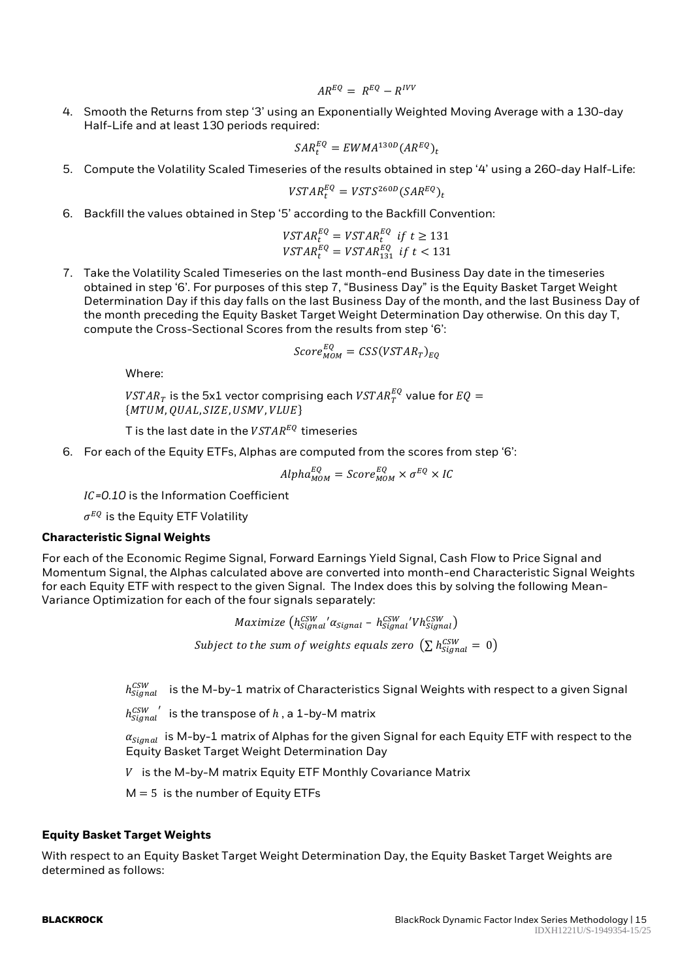$$
AR^{EQ} = R^{EQ} - R^{IVV}
$$

4. Smooth the Returns from step '3' using an Exponentially Weighted Moving Average with a 130-day Half-Life and at least 130 periods required:

$$
SAR_t^{EQ} = EWMA^{130D}(AR^{EQ})_t
$$

5. Compute the Volatility Scaled Timeseries of the results obtained in step '4' using a 260-day Half-Life:

$$
VSTAR_t^{EQ} = VSTS^{260D}(SAR^{EQ})_t
$$

6. Backfill the values obtained in Step '5' according to the Backfill Convention:

$$
VSTAR_t^{EQ} = VSTAR_t^{EQ} \text{ if } t \ge 131
$$
  

$$
VSTAR_t^{EQ} = VSTAR_{131}^{EQ} \text{ if } t < 131
$$

7. Take the Volatility Scaled Timeseries on the last month-end Business Day date in the timeseries obtained in step '6'. For purposes of this step 7, "Business Day" is the Equity Basket Target Weight Determination Day if this day falls on the last Business Day of the month, and the last Business Day of the month preceding the Equity Basket Target Weight Determination Day otherwise. On this day T, compute the Cross-Sectional Scores from the results from step '6':

$$
Score_{MOM}^{EQ} = CSS(VSTAR_T)_{EQ}
$$

Where:

 $\mathit{VSTAR}_T$  is the 5x1 vector comprising each  $\mathit{VSTAR}_T^{EQ}$  value for  $EQ =$  ${MTUM, OUAL, SIZE, USMV, VLUE}$ 

T is the last date in the  $VSTAR^{EQ}$  timeseries

6. For each of the Equity ETFs, Alphas are computed from the scores from step '6':

$$
Alpha_{MOM}^{EQ} = Score_{MOM}^{EQ} \times \sigma^{EQ} \times IC
$$

*=0.10* is the Information Coefficient

 $\sigma^{EQ}$  is the Equity ETF Volatility

#### **Characteristic Signal Weights**

For each of the Economic Regime Signal, Forward Earnings Yield Signal, Cash Flow to Price Signal and Momentum Signal, the Alphas calculated above are converted into month-end Characteristic Signal Weights for each Equity ETF with respect to the given Signal. The Index does this by solving the following Mean-Variance Optimization for each of the four signals separately:

 $Maximize (h_{Signal}^{CSW} / a_{Signal} - h_{Signal}^{CSW} / V h_{Signal}^{CSW})$ 

Subject to the sum of weights equals zero  $\left(\sum h_{\mathit{Signal}}^{\mathit{CSW}}\right)=0\right)$ 

 $\rm \mathit{h}_{\mathit{Signal}}^{CSW}$  is the M-by-1 matrix of Characteristics Signal Weights with respect to a given Signal

 $h_{\mathit{Signal}}^{\mathit{CSW}}$  's the transpose of  $h$  , a 1-by-M matrix

 $\alpha_{Sional}$  is M-by-1 matrix of Alphas for the given Signal for each Equity ETF with respect to the Equity Basket Target Weight Determination Day

 $V$  is the M-by-M matrix Equity ETF Monthly Covariance Matrix

 $M = 5$  is the number of Equity ETFs

#### **Equity Basket Target Weights**

With respect to an Equity Basket Target Weight Determination Day, the Equity Basket Target Weights are determined as follows: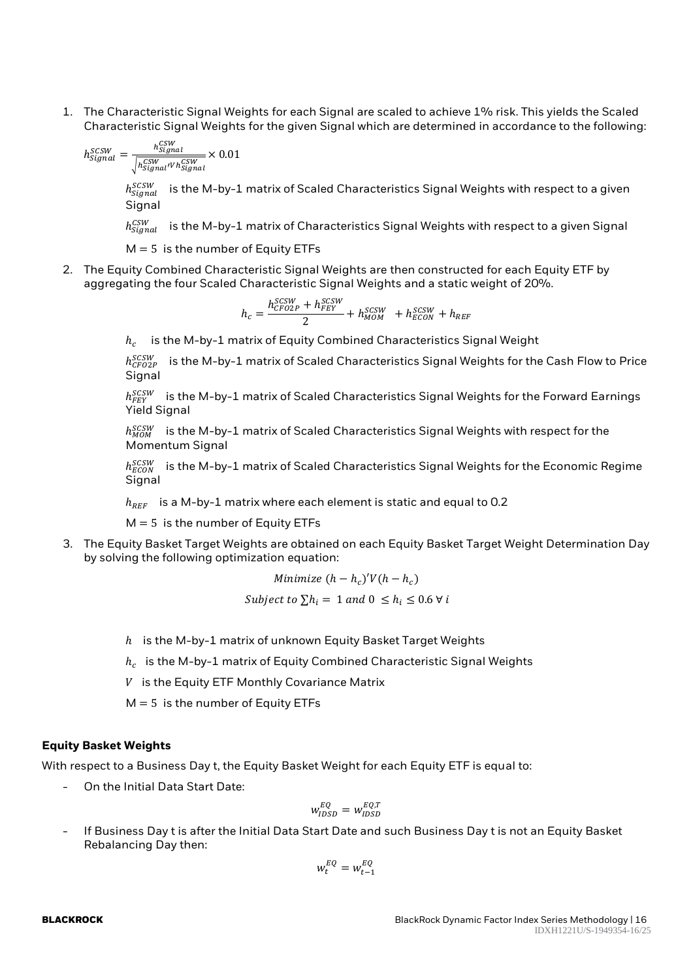1. The Characteristic Signal Weights for each Signal are scaled to achieve 1% risk. This yields the Scaled Characteristic Signal Weights for the given Signal which are determined in accordance to the following:

$$
h_{signal}^{SCSW} = \frac{h_{signal}^{CSW}}{\sqrt{h_{signal}^{CSW} / v h_{signal}^{CSW}}} \times 0.01
$$

 $h^{SCSW}_{Signal}$  is the M-by-1 matrix of Scaled Characteristics Signal Weights with respect to a given Signal

 $\rm \mathit{h}_{\mathit{Signal}}^{CSW}$  is the M-by-1 matrix of Characteristics Signal Weights with respect to a given Signal

 $M = 5$  is the number of Equity ETFs

2. The Equity Combined Characteristic Signal Weights are then constructed for each Equity ETF by aggregating the four Scaled Characteristic Signal Weights and a static weight of 20%.

$$
h_c = \frac{h_{CFO2P}^{SCSW} + h_{FEY}^{SCSW}}{2} + h_{MOM}^{SCSW} + h_{ECON}^{SCSW} + h_{REF}
$$

 $h_c$   $\;$  is the M-by-1 matrix of Equity Combined Characteristics Signal Weight

 $h^{SCSW}_{CFO2P}$  is the M-by-1 matrix of Scaled Characteristics Signal Weights for the Cash Flow to Price Signal

 $h_{\it FEY}^{\it SCSW}$  is the M-by-1 matrix of Scaled Characteristics Signal Weights for the Forward Earnings Yield Signal

 $h_{MOM}^{SCSW}$  is the M-by-1 matrix of Scaled Characteristics Signal Weights with respect for the Momentum Signal

 $h^{SCSW}_{ECON}$  is the M-by-1 matrix of Scaled Characteristics Signal Weights for the Economic Regime Signal

 $h_{REF}$  is a M-by-1 matrix where each element is static and equal to 0.2

 $M = 5$  is the number of Equity ETFs

3. The Equity Basket Target Weights are obtained on each Equity Basket Target Weight Determination Day by solving the following optimization equation:

Minimize 
$$
(h - h_c)'V(h - h_c)
$$

Subject to  $\sum h_i = 1$  and  $0 \le h_i \le 0.6 \forall i$ 

- $h$  is the M-by-1 matrix of unknown Equity Basket Target Weights
- $h_c$  is the M-by-1 matrix of Equity Combined Characteristic Signal Weights
- $V$  is the Equity ETF Monthly Covariance Matrix
- $M = 5$  is the number of Equity ETFs

#### **Equity Basket Weights**

With respect to a Business Day t, the Equity Basket Weight for each Equity ETF is equal to:

- On the Initial Data Start Date:

$$
w^{EQ}_{IDSD} = w^{EQ,T}_{IDSD}
$$

If Business Day t is after the Initial Data Start Date and such Business Day t is not an Equity Basket Rebalancing Day then:

$$
w_t^{EQ} = w_{t-1}^{EQ}
$$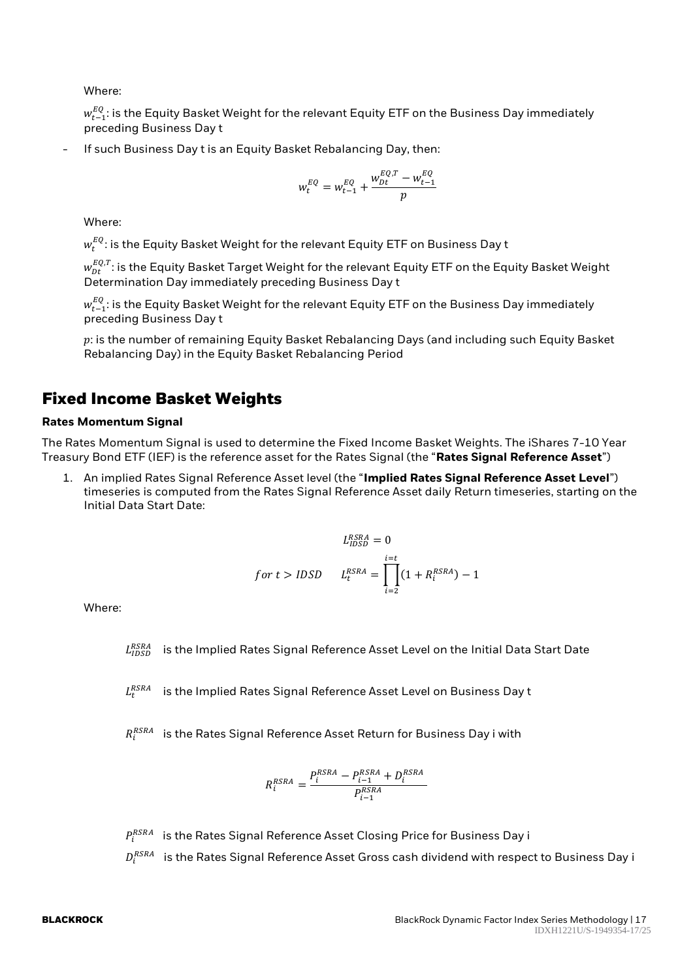Where:

 $w_{t-1}^{EQ}.$  is the Equity Basket Weight for the relevant Equity ETF on the Business Day immediately preceding Business Day t

If such Business Day t is an Equity Basket Rebalancing Day, then:

$$
w^{EQ}_t = w^{EQ}_{t-1} + \frac{w^{EQ,T}_{Dt} - w^{EQ}_{t-1}}{p}
$$

Where:

 $w_t^{EQ}$ : is the Equity Basket Weight for the relevant Equity ETF on Business Day t

 $w_{Dt}^{EQ,T}$ : is the Equity Basket Target Weight for the relevant Equity ETF on the Equity Basket Weight Determination Day immediately preceding Business Day t

 $w_{t-1}^{EQ}.$  is the Equity Basket Weight for the relevant Equity ETF on the Business Day immediately preceding Business Day t

 $v$ : is the number of remaining Equity Basket Rebalancing Days (and including such Equity Basket Rebalancing Day) in the Equity Basket Rebalancing Period

## **Fixed Income Basket Weights**

#### **Rates Momentum Signal**

The Rates Momentum Signal is used to determine the Fixed Income Basket Weights. The iShares 7-10 Year Treasury Bond ETF (IEF) is the reference asset for the Rates Signal (the "**Rates Signal Reference Asset**")

1. An implied Rates Signal Reference Asset level (the "**Implied Rates Signal Reference Asset Level**") timeseries is computed from the Rates Signal Reference Asset daily Return timeseries, starting on the Initial Data Start Date:

$$
L_{IDSD}^{RSRA} = 0
$$
  
for  $t > IDSD$  
$$
L_t^{RSRA} = \prod_{i=2}^{i=t} (1 + R_i^{RSRA}) - 1
$$

Where:

L<sup>RSRA</sup> is the Implied Rates Signal Reference Asset Level on the Initial Data Start Date

 $L_t^{RSRA}$ is the Implied Rates Signal Reference Asset Level on Business Day t

 $R_{i}^{\mathit{RSRA}}$  is the Rates Signal Reference Asset Return for Business Day i with

$$
R_i^{RSRA} = \frac{P_i^{RSRA} - P_{i-1}^{RSRA} + D_i^{RSRA}}{P_{i-1}^{RSRA}}
$$

 $P_{i}^{\mathit{RSRA}}$  is the Rates Signal Reference Asset Closing Price for Business Day i

 $D_{i}^{\mathit{RSRA}}$  is the Rates Signal Reference Asset Gross cash dividend with respect to Business Day i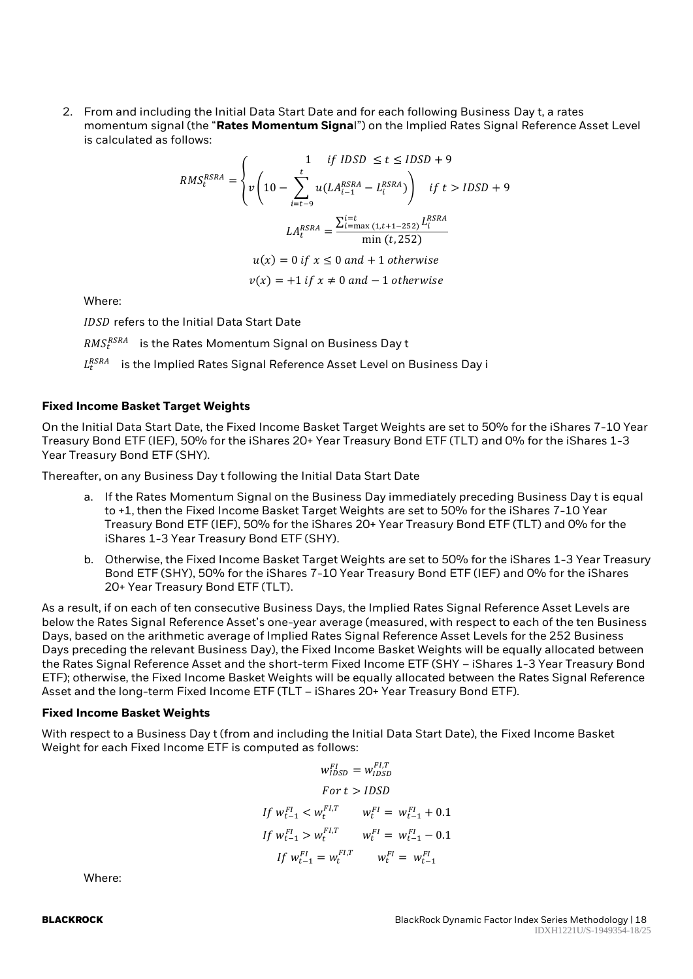2. From and including the Initial Data Start Date and for each following Business Day t, a rates momentum signal (the "**Rates Momentum Signa**l") on the Implied Rates Signal Reference Asset Level is calculated as follows:

$$
RMS_t^{RSRA} = \begin{cases} 1 & \text{if IDSD} \le t \le IDSD + 9\\ v \left(10 - \sum_{i=t-9}^t u(LA_{i-1}^{RSRA} - L_i^{RSRA}) \right) & \text{if } t > IDSD + 9 \end{cases}
$$

$$
LA_t^{RSRA} = \frac{\sum_{i=\max(1,t+1-252)}^{t \ge KL} L_i^{RSRA}}{\min(t, 252)}
$$

$$
u(x) = 0 \text{ if } x \le 0 \text{ and } +1 \text{ otherwise}
$$

$$
v(x) = +1 \text{ if } x \ne 0 \text{ and } -1 \text{ otherwise}
$$

Where:

**IDSD** refers to the Initial Data Start Date

 $\mathit{RMS}^{\mathit{RSRA}}_{t}$  is the Rates Momentum Signal on Business Day t

 $L_{t}^{\textit{BSRA}}$  is the Implied Rates Signal Reference Asset Level on Business Day i

#### **Fixed Income Basket Target Weights**

On the Initial Data Start Date, the Fixed Income Basket Target Weights are set to 50% for the iShares 7-10 Year Treasury Bond ETF (IEF), 50% for the iShares 20+ Year Treasury Bond ETF (TLT) and 0% for the iShares 1-3 Year Treasury Bond ETF (SHY).

Thereafter, on any Business Day t following the Initial Data Start Date

- a. If the Rates Momentum Signal on the Business Day immediately preceding Business Day t is equal to +1, then the Fixed Income Basket Target Weights are set to 50% for the iShares 7-10 Year Treasury Bond ETF (IEF), 50% for the iShares 20+ Year Treasury Bond ETF (TLT) and 0% for the iShares 1-3 Year Treasury Bond ETF (SHY).
- b. Otherwise, the Fixed Income Basket Target Weights are set to 50% for the iShares 1-3 Year Treasury Bond ETF (SHY), 50% for the iShares 7-10 Year Treasury Bond ETF (IEF) and 0% for the iShares 20+ Year Treasury Bond ETF (TLT).

As a result, if on each of ten consecutive Business Days, the Implied Rates Signal Reference Asset Levels are below the Rates Signal Reference Asset's one-year average (measured, with respect to each of the ten Business Days, based on the arithmetic average of Implied Rates Signal Reference Asset Levels for the 252 Business Days preceding the relevant Business Day), the Fixed Income Basket Weights will be equally allocated between the Rates Signal Reference Asset and the short-term Fixed Income ETF (SHY – iShares 1-3 Year Treasury Bond ETF); otherwise, the Fixed Income Basket Weights will be equally allocated between the Rates Signal Reference Asset and the long-term Fixed Income ETF (TLT – iShares 20+ Year Treasury Bond ETF).

#### **Fixed Income Basket Weights**

With respect to a Business Day t (from and including the Initial Data Start Date), the Fixed Income Basket Weight for each Fixed Income ETF is computed as follows:

$$
w_{IDSD}^{FI} = w_{IDSD}^{FI,T}
$$
  
\n
$$
For t > IDSD
$$
  
\n
$$
If w_{t-1}^{FI} < w_t^{FI,T} \qquad w_t^{FI} = w_{t-1}^{FI} + 0.1
$$
  
\n
$$
If w_{t-1}^{FI} > w_t^{FI,T} \qquad w_t^{FI} = w_{t-1}^{FI} - 0.1
$$
  
\n
$$
If w_{t-1}^{FI} = w_t^{FI,T} \qquad w_t^{FI} = w_{t-1}^{FI}
$$

Where: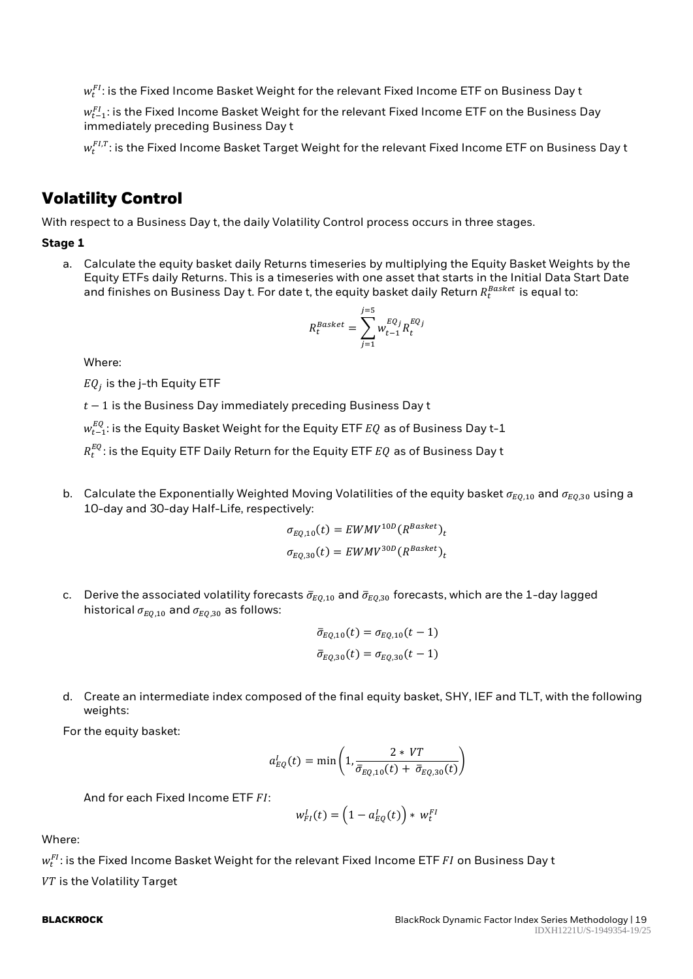$w_t^{FI}$ : is the Fixed Income Basket Weight for the relevant Fixed Income ETF on Business Day t

 $w_{t-1}^{FI}$ : is the Fixed Income Basket Weight for the relevant Fixed Income ETF on the Business Day immediately preceding Business Day t

 $w_t^{FI,T}$ : is the Fixed Income Basket Target Weight for the relevant Fixed Income ETF on Business Day t

## **Volatility Control**

With respect to a Business Day t, the daily Volatility Control process occurs in three stages.

#### **Stage 1**

a. Calculate the equity basket daily Returns timeseries by multiplying the Equity Basket Weights by the Equity ETFs daily Returns. This is a timeseries with one asset that starts in the Initial Data Start Date and finishes on Business Day t. For date t, the equity basket daily Return  $R_t^{Basket}$  is equal to:

$$
R_t^{Basket} = \sum_{j=1}^{j=5} w_{t-1}^{EQ} R_t^{EQj}
$$

Where:

 $EQ_{j}$  is the j-th Equity ETF

 $t-1$  is the Business Day immediately preceding Business Day t

 $w_{t-1}^{EQ}$ : is the Equity Basket Weight for the Equity ETF  $EQ$  as of Business Day t-1

 $R_{t}^{EQ}$ : is the Equity ETF Daily Return for the Equity ETF  $EQ$  as of Business Day t

b. Calculate the Exponentially Weighted Moving Volatilities of the equity basket  $\sigma_{E0,10}$  and  $\sigma_{E0,30}$  using a 10-day and 30-day Half-Life, respectively:

$$
\sigma_{EQ,10}(t) = EWMV^{10D}(R^{Basket})_t
$$

$$
\sigma_{EQ,30}(t) = EWMV^{30D}(R^{Basket})_t
$$

c. Derive the associated volatility forecasts  $\bar{\sigma}_{E0.10}$  and  $\bar{\sigma}_{E0.30}$  forecasts, which are the 1-day lagged historical  $\sigma_{E0,10}$  and  $\sigma_{E0,30}$  as follows:

$$
\bar{\sigma}_{EQ,10}(t) = \sigma_{EQ,10}(t-1)
$$

$$
\bar{\sigma}_{EQ,30}(t) = \sigma_{EQ,30}(t-1)
$$

d. Create an intermediate index composed of the final equity basket, SHY, IEF and TLT, with the following weights:

For the equity basket:

$$
a_{EQ}^l(t) = \min\left(1, \frac{2*VT}{\bar{\sigma}_{EQ,10}(t) + \bar{\sigma}_{EQ,30}(t)}\right)
$$

And for each Fixed Income ETF  $FI$ :

$$
w_{FI}^l(t) = \left(1-a_{EQ}^l(t)\right)*w_t^{FI}
$$

#### Where:

 $w_t^{FI}$ : is the Fixed Income Basket Weight for the relevant Fixed Income ETF  $FI$  on Business Day t  $VT$  is the Volatility Target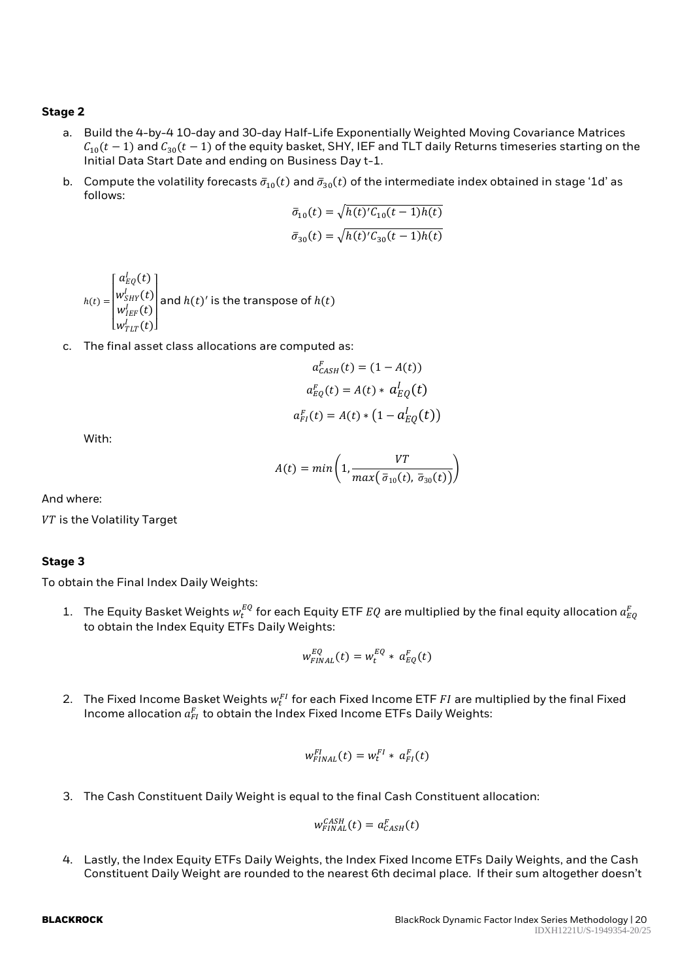#### **Stage 2**

- a. Build the 4-by-4 10-day and 30-day Half-Life Exponentially Weighted Moving Covariance Matrices  $C_{10}(t-1)$  and  $C_{30}(t-1)$  of the equity basket, SHY, IEF and TLT daily Returns timeseries starting on the Initial Data Start Date and ending on Business Day t-1.
- b. Compute the volatility forecasts  $\bar{\sigma}_{10}(t)$  and  $\bar{\sigma}_{30}(t)$  of the intermediate index obtained in stage '1d' as follows:

$$
\bar{\sigma}_{10}(t) = \sqrt{h(t)'C_{10}(t-1)h(t)}
$$

$$
\bar{\sigma}_{30}(t) = \sqrt{h(t)'C_{30}(t-1)h(t)}
$$

 $h(t) =$ [  $\overline{\phantom{a}}$  $\int a_{EQ}^{l}(t)$  $w^I_{SHY}(t)$  $w^I_{IEF}(t)$  $\begin{bmatrix} w_{SHY}^l(t)\ w_{IEF}^l(t)\ w_{TLT}^l(t) \end{bmatrix}$ I and  $h(t)'$  is the transpose of  $h(t)$ 

c. The final asset class allocations are computed as:

$$
a_{CASH}^F(t) = (1 - A(t))
$$

$$
a_{EQ}^F(t) = A(t) * a_{EQ}^I(t)
$$

$$
a_{FI}^F(t) = A(t) * (1 - a_{EQ}^I(t))
$$

With:

$$
A(t) = min\left(1, \frac{VT}{max(\bar{\sigma}_{10}(t), \bar{\sigma}_{30}(t))}\right)
$$

And where:

 $VT$  is the Volatility Target

#### **Stage 3**

To obtain the Final Index Daily Weights:

1. The Equity Basket Weights  $w_t^{EQ}$  for each Equity ETF  $EQ$  are multiplied by the final equity allocation  $a_{EQ}^F$ to obtain the Index Equity ETFs Daily Weights:

$$
w_{\text{FINAL}}^{EQ}(t) = w_{t}^{EQ} * a_{EQ}^{F}(t)
$$

2. The Fixed Income Basket Weights  $w_t^{FI}$  for each Fixed Income ETF  $FI$  are multiplied by the final Fixed Income allocation  $a_{FI}^F$  to obtain the Index Fixed Income ETFs Daily Weights:

$$
w_{FINAL}^{FI}(t) = w_t^{FI} * a_{FI}^F(t)
$$

3. The Cash Constituent Daily Weight is equal to the final Cash Constituent allocation:

$$
w_{FINAL}^{CASH}(t) = a_{CASH}^F(t)
$$

4. Lastly, the Index Equity ETFs Daily Weights, the Index Fixed Income ETFs Daily Weights, and the Cash Constituent Daily Weight are rounded to the nearest 6th decimal place. If their sum altogether doesn't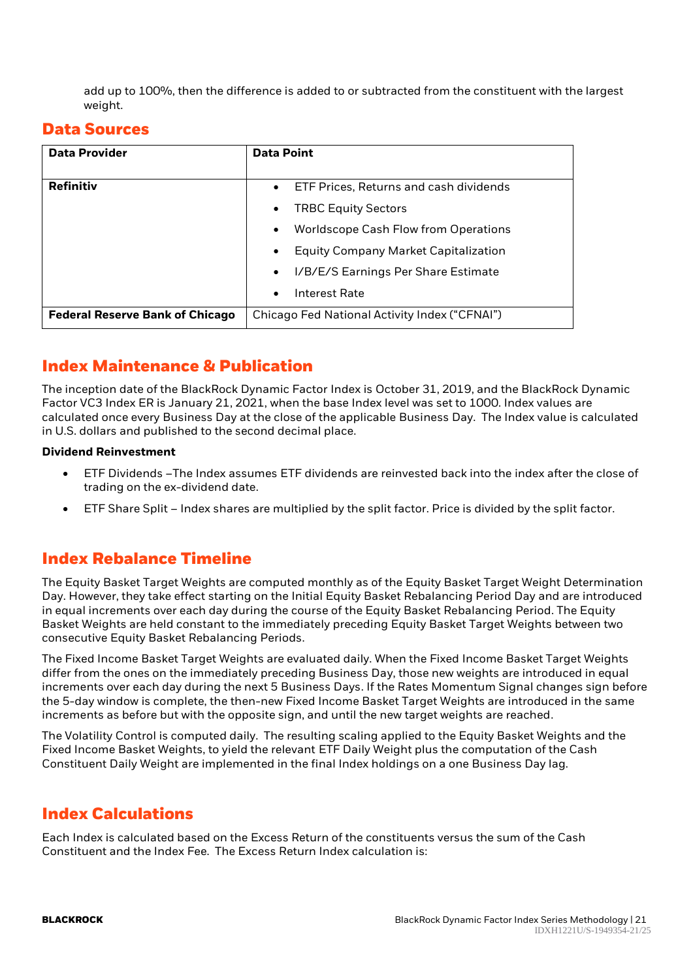add up to 100%, then the difference is added to or subtracted from the constituent with the largest weight.

# **Data Sources**

| <b>Data Provider</b>                   | <b>Data Point</b>                                        |  |  |
|----------------------------------------|----------------------------------------------------------|--|--|
|                                        |                                                          |  |  |
| <b>Refinitiv</b>                       | ETF Prices, Returns and cash dividends<br>$\bullet$      |  |  |
|                                        | <b>TRBC Equity Sectors</b><br>$\bullet$                  |  |  |
|                                        | <b>Worldscope Cash Flow from Operations</b><br>$\bullet$ |  |  |
|                                        | <b>Equity Company Market Capitalization</b>              |  |  |
|                                        | I/B/E/S Earnings Per Share Estimate<br>$\bullet$         |  |  |
|                                        | Interest Rate<br>$\bullet$                               |  |  |
| <b>Federal Reserve Bank of Chicago</b> | Chicago Fed National Activity Index ("CFNAI")            |  |  |

# **Index Maintenance & Publication**

The inception date of the BlackRock Dynamic Factor Index is October 31, 2019, and the BlackRock Dynamic Factor VC3 Index ER is January 21, 2021, when the base Index level was set to 1000. Index values are calculated once every Business Day at the close of the applicable Business Day. The Index value is calculated in U.S. dollars and published to the second decimal place.

#### **Dividend Reinvestment**

- ETF Dividends –The Index assumes ETF dividends are reinvested back into the index after the close of trading on the ex-dividend date.
- ETF Share Split Index shares are multiplied by the split factor. Price is divided by the split factor.

# **Index Rebalance Timeline**

The Equity Basket Target Weights are computed monthly as of the Equity Basket Target Weight Determination Day. However, they take effect starting on the Initial Equity Basket Rebalancing Period Day and are introduced in equal increments over each day during the course of the Equity Basket Rebalancing Period. The Equity Basket Weights are held constant to the immediately preceding Equity Basket Target Weights between two consecutive Equity Basket Rebalancing Periods.

The Fixed Income Basket Target Weights are evaluated daily. When the Fixed Income Basket Target Weights differ from the ones on the immediately preceding Business Day, those new weights are introduced in equal increments over each day during the next 5 Business Days. If the Rates Momentum Signal changes sign before the 5-day window is complete, the then-new Fixed Income Basket Target Weights are introduced in the same increments as before but with the opposite sign, and until the new target weights are reached.

The Volatility Control is computed daily. The resulting scaling applied to the Equity Basket Weights and the Fixed Income Basket Weights, to yield the relevant ETF Daily Weight plus the computation of the Cash Constituent Daily Weight are implemented in the final Index holdings on a one Business Day lag.

# **Index Calculations**

Each Index is calculated based on the Excess Return of the constituents versus the sum of the Cash Constituent and the Index Fee. The Excess Return Index calculation is: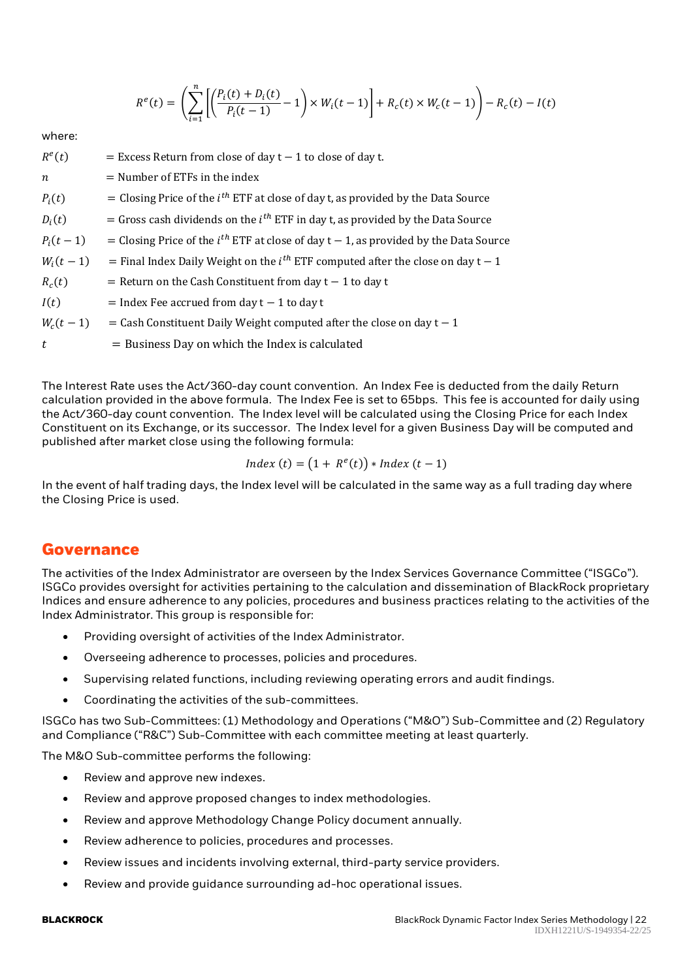$$
R^{e}(t) = \left(\sum_{i=1}^{n} \left[ \left( \frac{P_{i}(t) + D_{i}(t)}{P_{i}(t-1)} - 1 \right) \times W_{i}(t-1) \right] + R_{c}(t) \times W_{c}(t-1) \right) - R_{c}(t) - I(t)
$$

where:

| $R^e(t)$         | $=$ Excess Return from close of day $t - 1$ to close of day t.                            |
|------------------|-------------------------------------------------------------------------------------------|
| $\boldsymbol{n}$ | $=$ Number of ETFs in the index                                                           |
| $P_i(t)$         | = Closing Price of the $i^{th}$ ETF at close of day t, as provided by the Data Source     |
| $D_i(t)$         | = Gross cash dividends on the $i^{th}$ ETF in day t, as provided by the Data Source       |
| $P_i(t-1)$       | = Closing Price of the $i^{th}$ ETF at close of day t – 1, as provided by the Data Source |
| $W_i(t-1)$       | = Final Index Daily Weight on the $i^{th}$ ETF computed after the close on day t – 1      |
| $R_c(t)$         | $=$ Return on the Cash Constituent from day $t - 1$ to day t                              |
| I(t)             | $=$ Index Fee accrued from day $t - 1$ to day t                                           |
| $W_c(t-1)$       | $=$ Cash Constituent Daily Weight computed after the close on day t $-1$                  |
| t                | $=$ Business Day on which the Index is calculated                                         |

The Interest Rate uses the Act/360-day count convention. An Index Fee is deducted from the daily Return calculation provided in the above formula. The Index Fee is set to 65bps. This fee is accounted for daily using the Act/360-day count convention. The Index level will be calculated using the Closing Price for each Index Constituent on its Exchange, or its successor. The Index level for a given Business Day will be computed and published after market close using the following formula:

$$
Index(t) = (1 + Re(t)) * Index(t - 1)
$$

In the event of half trading days, the Index level will be calculated in the same way as a full trading day where the Closing Price is used.

## **Governance**

The activities of the Index Administrator are overseen by the Index Services Governance Committee ("ISGCo"). ISGCo provides oversight for activities pertaining to the calculation and dissemination of BlackRock proprietary Indices and ensure adherence to any policies, procedures and business practices relating to the activities of the Index Administrator. This group is responsible for:

- Providing oversight of activities of the Index Administrator.
- Overseeing adherence to processes, policies and procedures.
- Supervising related functions, including reviewing operating errors and audit findings.
- Coordinating the activities of the sub-committees.

ISGCo has two Sub-Committees: (1) Methodology and Operations ("M&O") Sub-Committee and (2) Regulatory and Compliance ("R&C") Sub-Committee with each committee meeting at least quarterly.

The M&O Sub-committee performs the following:

- Review and approve new indexes.
- Review and approve proposed changes to index methodologies.
- Review and approve Methodology Change Policy document annually.
- Review adherence to policies, procedures and processes.
- Review issues and incidents involving external, third-party service providers.
- Review and provide guidance surrounding ad-hoc operational issues.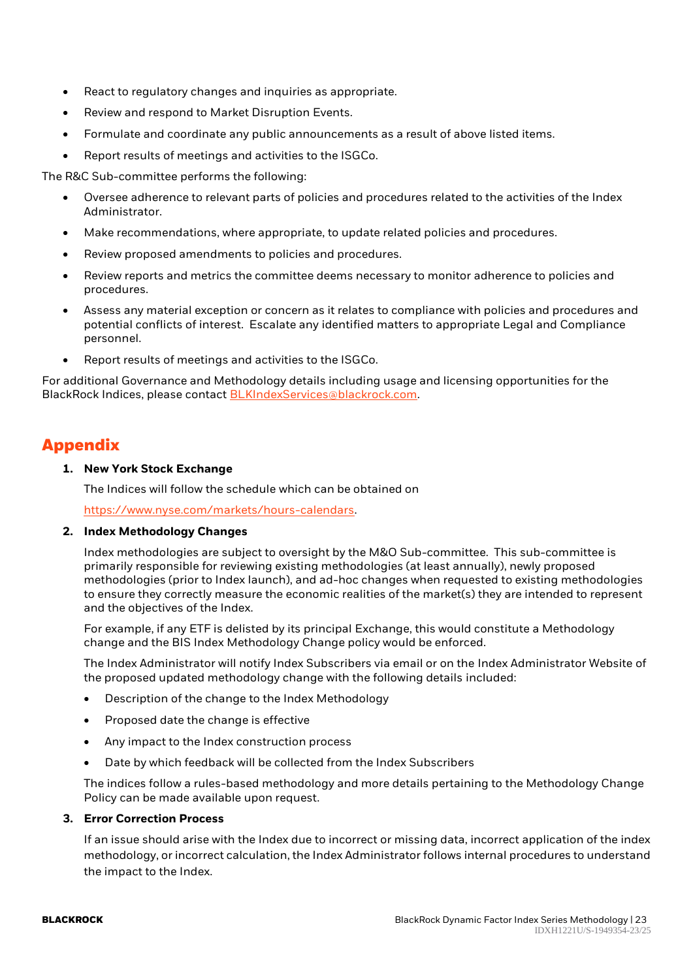- React to regulatory changes and inquiries as appropriate.
- Review and respond to Market Disruption Events.
- Formulate and coordinate any public announcements as a result of above listed items.
- Report results of meetings and activities to the ISGCo.

The R&C Sub-committee performs the following:

- Oversee adherence to relevant parts of policies and procedures related to the activities of the Index Administrator.
- Make recommendations, where appropriate, to update related policies and procedures.
- Review proposed amendments to policies and procedures.
- Review reports and metrics the committee deems necessary to monitor adherence to policies and procedures.
- Assess any material exception or concern as it relates to compliance with policies and procedures and potential conflicts of interest. Escalate any identified matters to appropriate Legal and Compliance personnel.
- Report results of meetings and activities to the ISGCo.

For additional Governance and Methodology details including usage and licensing opportunities for the BlackRock Indices, please contact [BLKIndexServices@blackrock.com.](mailto:BLKIndexServices@blackrock.com)

# **Appendix**

#### **1. New York Stock Exchange**

The Indices will follow the schedule which can be obtained on

[https://www.nyse.com/markets/hours-calendars.](https://www.nyse.com/markets/hours-calendars) 

#### **2. Index Methodology Changes**

Index methodologies are subject to oversight by the M&O Sub-committee. This sub-committee is primarily responsible for reviewing existing methodologies (at least annually), newly proposed methodologies (prior to Index launch), and ad-hoc changes when requested to existing methodologies to ensure they correctly measure the economic realities of the market(s) they are intended to represent and the objectives of the Index.

For example, if any ETF is delisted by its principal Exchange, this would constitute a Methodology change and the BIS Index Methodology Change policy would be enforced.

The Index Administrator will notify Index Subscribers via email or on the Index Administrator Website of the proposed updated methodology change with the following details included:

- Description of the change to the Index Methodology
- Proposed date the change is effective
- Any impact to the Index construction process
- Date by which feedback will be collected from the Index Subscribers

The indices follow a rules-based methodology and more details pertaining to the Methodology Change Policy can be made available upon request.

#### **3. Error Correction Process**

If an issue should arise with the Index due to incorrect or missing data, incorrect application of the index methodology, or incorrect calculation, the Index Administrator follows internal procedures to understand the impact to the Index.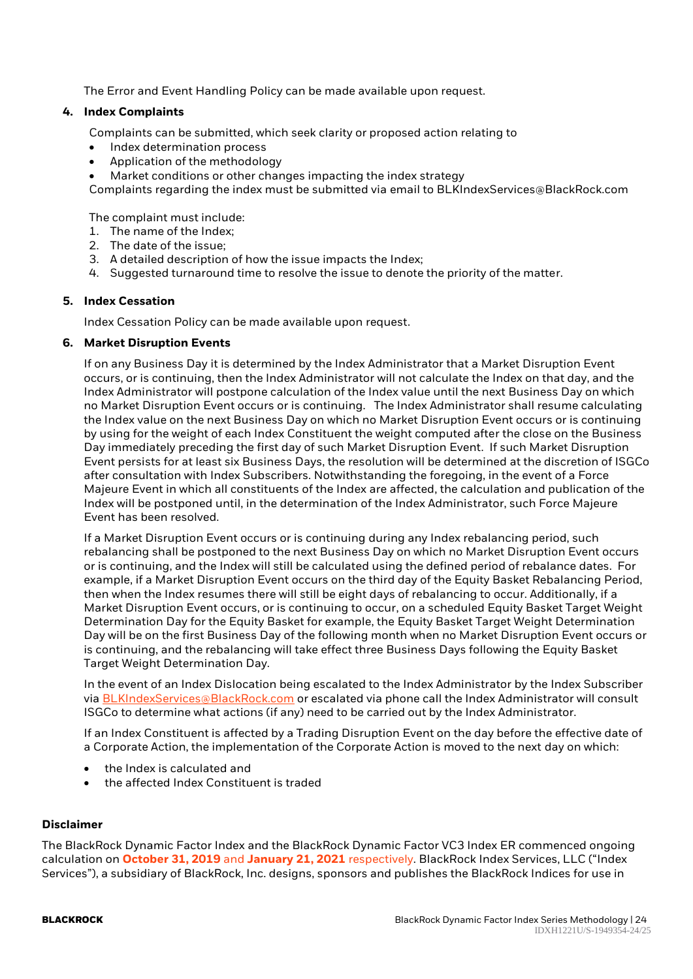The Error and Event Handling Policy can be made available upon request.

#### **4. Index Complaints**

Complaints can be submitted, which seek clarity or proposed action relating to

- Index determination process
- Application of the methodology
- Market conditions or other changes impacting the index strategy

Complaints regarding the index must be submitted via email to BLKIndexServices@BlackRock.com

The complaint must include:

- 1. The name of the Index;
- 2. The date of the issue;
- 3. A detailed description of how the issue impacts the Index;
- 4. Suggested turnaround time to resolve the issue to denote the priority of the matter.

#### **5. Index Cessation**

Index Cessation Policy can be made available upon request.

#### **6. Market Disruption Events**

If on any Business Day it is determined by the Index Administrator that a Market Disruption Event occurs, or is continuing, then the Index Administrator will not calculate the Index on that day, and the Index Administrator will postpone calculation of the Index value until the next Business Day on which no Market Disruption Event occurs or is continuing. The Index Administrator shall resume calculating the Index value on the next Business Day on which no Market Disruption Event occurs or is continuing by using for the weight of each Index Constituent the weight computed after the close on the Business Day immediately preceding the first day of such Market Disruption Event. If such Market Disruption Event persists for at least six Business Days, the resolution will be determined at the discretion of ISGCo after consultation with Index Subscribers. Notwithstanding the foregoing, in the event of a Force Majeure Event in which all constituents of the Index are affected, the calculation and publication of the Index will be postponed until, in the determination of the Index Administrator, such Force Majeure Event has been resolved.

If a Market Disruption Event occurs or is continuing during any Index rebalancing period, such rebalancing shall be postponed to the next Business Day on which no Market Disruption Event occurs or is continuing, and the Index will still be calculated using the defined period of rebalance dates. For example, if a Market Disruption Event occurs on the third day of the Equity Basket Rebalancing Period, then when the Index resumes there will still be eight days of rebalancing to occur. Additionally, if a Market Disruption Event occurs, or is continuing to occur, on a scheduled Equity Basket Target Weight Determination Day for the Equity Basket for example, the Equity Basket Target Weight Determination Day will be on the first Business Day of the following month when no Market Disruption Event occurs or is continuing, and the rebalancing will take effect three Business Days following the Equity Basket Target Weight Determination Day.

In the event of an Index Dislocation being escalated to the Index Administrator by the Index Subscriber via [BLKIndexServices@BlackRock.com](mailto:BLKIndexServices@BlackRock.com) or escalated via phone call the Index Administrator will consult ISGCo to determine what actions (if any) need to be carried out by the Index Administrator.

If an Index Constituent is affected by a Trading Disruption Event on the day before the effective date of a Corporate Action, the implementation of the Corporate Action is moved to the next day on which:

- the Index is calculated and
- the affected Index Constituent is traded

#### **Disclaimer**

The BlackRock Dynamic Factor Index and the BlackRock Dynamic Factor VC3 Index ER commenced ongoing calculation on **October 31, 2019** and **January 21, 2021** respectively. BlackRock Index Services, LLC ("Index Services"), a subsidiary of BlackRock, Inc. designs, sponsors and publishes the BlackRock Indices for use in